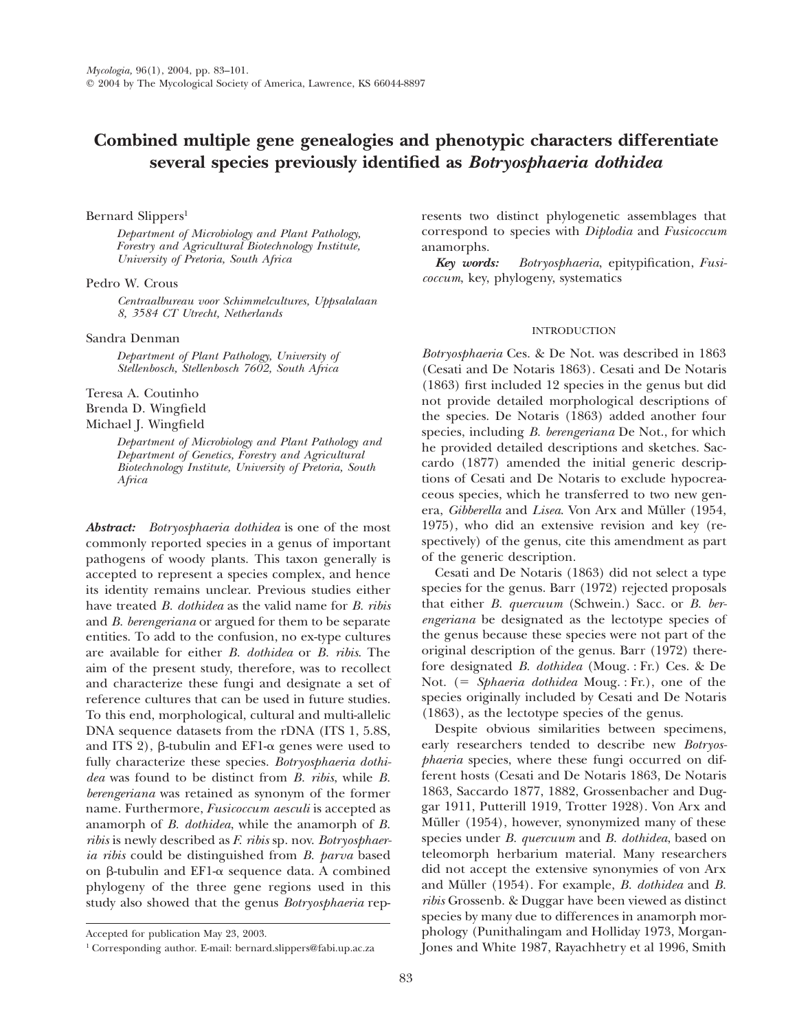# **Combined multiple gene genealogies and phenotypic characters differentiate several species previously identified as** *Botryosphaeria dothidea*

# Bernard Slippers<sup>1</sup>

*Department of Microbiology and Plant Pathology, Forestry and Agricultural Biotechnology Institute, University of Pretoria, South Africa*

# Pedro W. Crous

*Centraalbureau voor Schimmelcultures, Uppsalalaan 8, 3584 CT Utrecht, Netherlands*

## Sandra Denman

*Department of Plant Pathology, University of Stellenbosch, Stellenbosch 7602, South Africa*

Teresa A. Coutinho Brenda D. Wingfield Michael J. Wingfield

> *Department of Microbiology and Plant Pathology and Department of Genetics, Forestry and Agricultural Biotechnology Institute, University of Pretoria, South Africa*

*Abstract: Botryosphaeria dothidea* is one of the most commonly reported species in a genus of important pathogens of woody plants. This taxon generally is accepted to represent a species complex, and hence its identity remains unclear. Previous studies either have treated *B. dothidea* as the valid name for *B. ribis* and *B. berengeriana* or argued for them to be separate entities. To add to the confusion, no ex-type cultures are available for either *B. dothidea* or *B. ribis*. The aim of the present study, therefore, was to recollect and characterize these fungi and designate a set of reference cultures that can be used in future studies. To this end, morphological, cultural and multi-allelic DNA sequence datasets from the rDNA (ITS 1, 5.8S, and ITS 2),  $\beta$ -tubulin and EF1- $\alpha$  genes were used to fully characterize these species. *Botryosphaeria dothidea* was found to be distinct from *B. ribis*, while *B. berengeriana* was retained as synonym of the former name. Furthermore, *Fusicoccum aesculi* is accepted as anamorph of *B. dothidea*, while the anamorph of *B. ribis* is newly described as *F. ribis* sp. nov. *Botryosphaeria ribis* could be distinguished from *B. parva* based on  $\beta$ -tubulin and EF1- $\alpha$  sequence data. A combined phylogeny of the three gene regions used in this study also showed that the genus *Botryosphaeria* represents two distinct phylogenetic assemblages that correspond to species with *Diplodia* and *Fusicoccum* anamorphs.

*Key words: Botryosphaeria*, epitypification, *Fusicoccum*, key, phylogeny, systematics

## INTRODUCTION

*Botryosphaeria* Ces. & De Not. was described in 1863 (Cesati and De Notaris 1863). Cesati and De Notaris (1863) first included 12 species in the genus but did not provide detailed morphological descriptions of the species. De Notaris (1863) added another four species, including *B. berengeriana* De Not., for which he provided detailed descriptions and sketches. Saccardo (1877) amended the initial generic descriptions of Cesati and De Notaris to exclude hypocreaceous species, which he transferred to two new genera, *Gibberella* and *Lisea*. Von Arx and Müller (1954, 1975), who did an extensive revision and key (respectively) of the genus, cite this amendment as part of the generic description.

Cesati and De Notaris (1863) did not select a type species for the genus. Barr (1972) rejected proposals that either *B. quercuum* (Schwein.) Sacc. or *B. berengeriana* be designated as the lectotype species of the genus because these species were not part of the original description of the genus. Barr (1972) therefore designated *B. dothidea* (Moug. : Fr.) Ces. & De Not. (5 *Sphaeria dothidea* Moug. : Fr.), one of the species originally included by Cesati and De Notaris (1863), as the lectotype species of the genus.

Despite obvious similarities between specimens, early researchers tended to describe new *Botryosphaeria* species, where these fungi occurred on different hosts (Cesati and De Notaris 1863, De Notaris 1863, Saccardo 1877, 1882, Grossenbacher and Duggar 1911, Putterill 1919, Trotter 1928). Von Arx and Müller (1954), however, synonymized many of these species under *B. quercuum* and *B. dothidea*, based on teleomorph herbarium material. Many researchers did not accept the extensive synonymies of von Arx and Müller (1954). For example, *B. dothidea* and *B. ribis* Grossenb. & Duggar have been viewed as distinct species by many due to differences in anamorph morphology (Punithalingam and Holliday 1973, Morgan-Jones and White 1987, Rayachhetry et al 1996, Smith

Accepted for publication May 23, 2003.

<sup>1</sup> Corresponding author. E-mail: bernard.slippers@fabi.up.ac.za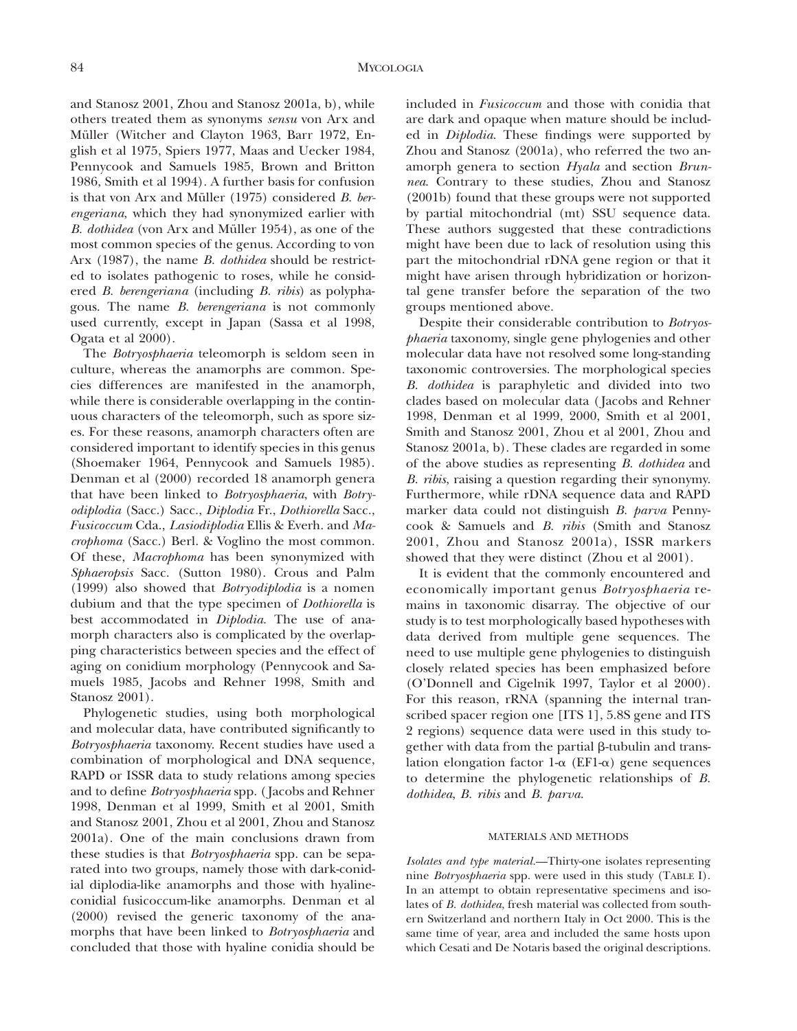and Stanosz 2001, Zhou and Stanosz 2001a, b), while others treated them as synonyms *sensu* von Arx and Müller (Witcher and Clayton 1963, Barr 1972, English et al 1975, Spiers 1977, Maas and Uecker 1984, Pennycook and Samuels 1985, Brown and Britton 1986, Smith et al 1994). A further basis for confusion is that von Arx and Müller (1975) considered *B. berengeriana*, which they had synonymized earlier with *B. dothidea* (von Arx and Müller 1954), as one of the most common species of the genus. According to von Arx (1987), the name *B. dothidea* should be restricted to isolates pathogenic to roses, while he considered *B. berengeriana* (including *B. ribis*) as polyphagous. The name *B. berengeriana* is not commonly used currently, except in Japan (Sassa et al 1998, Ogata et al 2000).

The *Botryosphaeria* teleomorph is seldom seen in culture, whereas the anamorphs are common. Species differences are manifested in the anamorph, while there is considerable overlapping in the continuous characters of the teleomorph, such as spore sizes. For these reasons, anamorph characters often are considered important to identify species in this genus (Shoemaker 1964, Pennycook and Samuels 1985). Denman et al (2000) recorded 18 anamorph genera that have been linked to *Botryosphaeria*, with *Botryodiplodia* (Sacc.) Sacc., *Diplodia* Fr., *Dothiorella* Sacc., *Fusicoccum* Cda., *Lasiodiplodia* Ellis & Everh. and *Macrophoma* (Sacc.) Berl. & Voglino the most common. Of these, *Macrophoma* has been synonymized with *Sphaeropsis* Sacc. (Sutton 1980). Crous and Palm (1999) also showed that *Botryodiplodia* is a nomen dubium and that the type specimen of *Dothiorella* is best accommodated in *Diplodia*. The use of anamorph characters also is complicated by the overlapping characteristics between species and the effect of aging on conidium morphology (Pennycook and Samuels 1985, Jacobs and Rehner 1998, Smith and Stanosz 2001).

Phylogenetic studies, using both morphological and molecular data, have contributed significantly to *Botryosphaeria* taxonomy. Recent studies have used a combination of morphological and DNA sequence, RAPD or ISSR data to study relations among species and to define *Botryosphaeria* spp. ( Jacobs and Rehner 1998, Denman et al 1999, Smith et al 2001, Smith and Stanosz 2001, Zhou et al 2001, Zhou and Stanosz 2001a). One of the main conclusions drawn from these studies is that *Botryosphaeria* spp. can be separated into two groups, namely those with dark-conidial diplodia-like anamorphs and those with hyalineconidial fusicoccum-like anamorphs. Denman et al (2000) revised the generic taxonomy of the anamorphs that have been linked to *Botryosphaeria* and concluded that those with hyaline conidia should be

included in *Fusicoccum* and those with conidia that are dark and opaque when mature should be included in *Diplodia*. These findings were supported by Zhou and Stanosz (2001a), who referred the two anamorph genera to section *Hyala* and section *Brunnea*. Contrary to these studies, Zhou and Stanosz (2001b) found that these groups were not supported by partial mitochondrial (mt) SSU sequence data. These authors suggested that these contradictions might have been due to lack of resolution using this part the mitochondrial rDNA gene region or that it might have arisen through hybridization or horizontal gene transfer before the separation of the two groups mentioned above.

Despite their considerable contribution to *Botryosphaeria* taxonomy, single gene phylogenies and other molecular data have not resolved some long-standing taxonomic controversies. The morphological species *B. dothidea* is paraphyletic and divided into two clades based on molecular data ( Jacobs and Rehner 1998, Denman et al 1999, 2000, Smith et al 2001, Smith and Stanosz 2001, Zhou et al 2001, Zhou and Stanosz 2001a, b). These clades are regarded in some of the above studies as representing *B. dothidea* and *B. ribis*, raising a question regarding their synonymy. Furthermore, while rDNA sequence data and RAPD marker data could not distinguish *B. parva* Pennycook & Samuels and *B. ribis* (Smith and Stanosz 2001, Zhou and Stanosz 2001a), ISSR markers showed that they were distinct (Zhou et al 2001).

It is evident that the commonly encountered and economically important genus *Botryosphaeria* remains in taxonomic disarray. The objective of our study is to test morphologically based hypotheses with data derived from multiple gene sequences. The need to use multiple gene phylogenies to distinguish closely related species has been emphasized before (O'Donnell and Cigelnik 1997, Taylor et al 2000). For this reason, rRNA (spanning the internal transcribed spacer region one [ITS 1], 5.8S gene and ITS 2 regions) sequence data were used in this study together with data from the partial  $\beta$ -tubulin and translation elongation factor 1- $\alpha$  (EF1- $\alpha$ ) gene sequences to determine the phylogenetic relationships of *B. dothidea*, *B. ribis* and *B. parva*.

# MATERIALS AND METHODS

*Isolates and type material.*—Thirty-one isolates representing nine *Botryosphaeria* spp. were used in this study (TABLE I). In an attempt to obtain representative specimens and isolates of *B. dothidea*, fresh material was collected from southern Switzerland and northern Italy in Oct 2000. This is the same time of year, area and included the same hosts upon which Cesati and De Notaris based the original descriptions.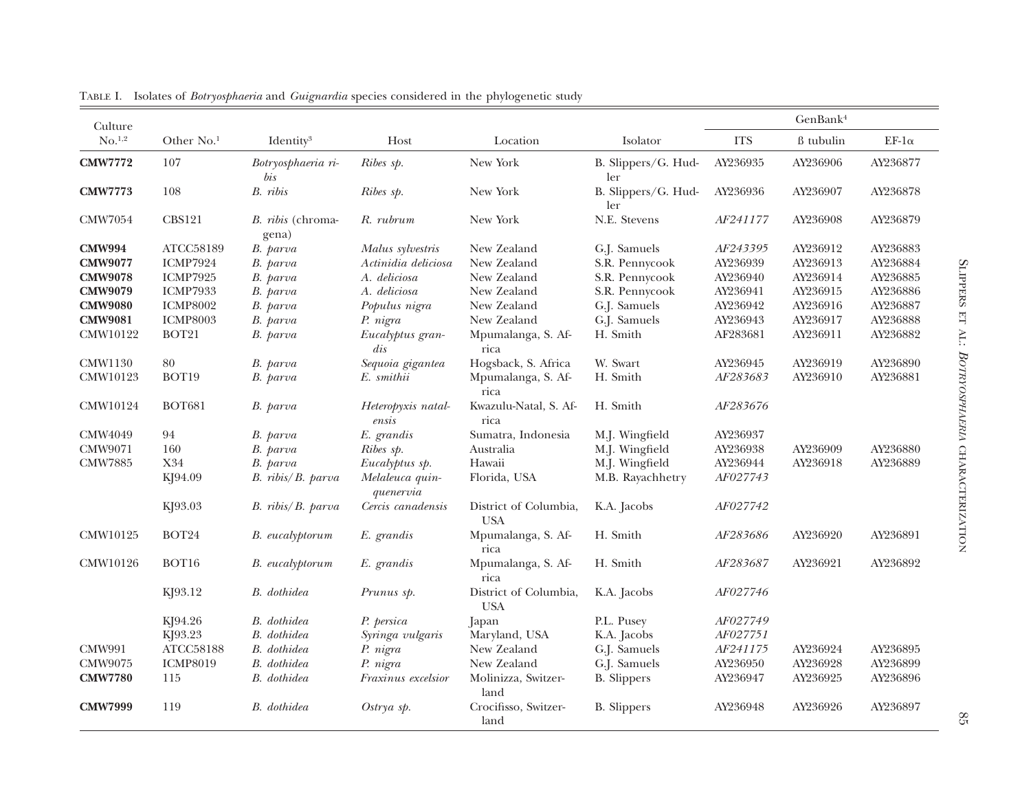| Culture              |                        |                                   |                              |                                     |                            |                 | GenBank <sup>4</sup> |               |
|----------------------|------------------------|-----------------------------------|------------------------------|-------------------------------------|----------------------------|-----------------|----------------------|---------------|
| $No.$ <sup>1,2</sup> | Other No. <sup>1</sup> | Identity <sup>3</sup>             | Host                         | Location                            | Isolator                   | <b>ITS</b>      | ß tubulin            | EF-1 $\alpha$ |
| <b>CMW7772</b>       | 107                    | Botryosphaeria ri-<br>bis         | Ribes sp.                    | New York                            | B. Slippers/G. Hud-<br>ler | AY236935        | AY236906             | AY236877      |
| <b>CMW7773</b>       | 108                    | B. ribis                          | Ribes sp.                    | New York                            | B. Slippers/G. Hud-<br>ler | AY236936        | AY236907             | AY236878      |
| <b>CMW7054</b>       | <b>CBS121</b>          | <i>B. ribis</i> (chroma-<br>gena) | R. rubrum                    | New York                            | N.E. Stevens               | AF241177        | AY236908             | AY236879      |
| <b>CMW994</b>        | ATCC58189              | B. parva                          | Malus sylvestris             | New Zealand                         | G.J. Samuels               | AF243395        | AY236912             | AY236883      |
| <b>CMW9077</b>       | ICMP7924               | B. parva                          | Actinidia deliciosa          | New Zealand                         | S.R. Pennycook             | AY236939        | AY236913             | AY236884      |
| <b>CMW9078</b>       | ICMP7925               | B. parva                          | A. deliciosa                 | New Zealand                         | S.R. Pennycook             | AY236940        | AY236914             | AY236885      |
| <b>CMW9079</b>       | <b>ICMP7933</b>        | B. parva                          | A. deliciosa                 | New Zealand                         | S.R. Pennycook             | AY236941        | AY236915             | AY236886      |
| <b>CMW9080</b>       | <b>ICMP8002</b>        | B. parva                          | Populus nigra                | New Zealand                         | G.J. Samuels               | AY236942        | AY236916             | AY236887      |
| <b>CMW9081</b>       | <b>ICMP8003</b>        | B. parva                          | P. nigra                     | New Zealand                         | G.J. Samuels               | AY236943        | AY236917             | AY236888      |
| CMW10122             | BOT <sub>21</sub>      | B. parva                          | Eucalyptus gran-<br>dis      | Mpumalanga, S. Af-<br>rica          | H. Smith                   | AF283681        | AY236911             | AY236882      |
| <b>CMW1130</b>       | 80                     | B. parva                          | Sequoia gigantea             | Hogsback, S. Africa                 | W. Swart                   | AY236945        | AY236919             | AY236890      |
| CMW10123             | BOT19                  | B. parva                          | E. smithii                   | Mpumalanga, S. Af-<br>rica          | H. Smith                   | AF283683        | AY236910             | AY236881      |
| CMW10124             | <b>BOT681</b>          | B. parva                          | Heteropyxis natal-<br>ensis  | Kwazulu-Natal, S. Af-<br>rica       | H. Smith                   | AF283676        |                      |               |
| CMW4049              | 94                     | B. parva                          | E. grandis                   | Sumatra, Indonesia                  | M.J. Wingfield             | AY236937        |                      |               |
| CMW9071              | 160                    | B. parva                          | Ribes sp.                    | Australia                           | M.J. Wingfield             | AY236938        | AY236909             | AY236880      |
| <b>CMW7885</b>       | X34                    | B. parva                          | Eucalyptus sp.               | Hawaii                              | M.J. Wingfield             | AY236944        | AY236918             | AY236889      |
|                      | KJ94.09                | B. ribis/B. parva                 | Melaleuca quin-<br>quenervia | Florida, USA                        | M.B. Rayachhetry           | AF027743        |                      |               |
|                      | KJ93.03                | $B.$ ribis/ $B.$ parva            | Cercis canadensis            | District of Columbia,<br><b>USA</b> | K.A. Jacobs                | AF027742        |                      |               |
| CMW10125             | BOT24                  | B. eucalyptorum                   | E. grandis                   | Mpumalanga, S. Af-<br>rica          | H. Smith                   | <i>AF283686</i> | AY236920             | AY236891      |
| CMW10126             | BOT16                  | <b>B.</b> eucalyptorum            | E. grandis                   | Mpumalanga, S. Af-<br>rica          | H. Smith                   | AF283687        | AY236921             | AY236892      |
|                      | KJ93.12                | B. dothidea                       | Prunus sp.                   | District of Columbia,<br><b>USA</b> | K.A. Jacobs                | AF027746        |                      |               |
|                      | KJ94.26                | B. dothidea                       | P. persica                   | Japan                               | P.L. Pusey                 | AF027749        |                      |               |
|                      | KJ93.23                | B. dothidea                       | Syringa vulgaris             | Maryland, USA                       | K.A. Jacobs                | AF027751        |                      |               |
| <b>CMW991</b>        | ATCC58188              | B. dothidea                       | P. nigra                     | New Zealand                         | G.J. Samuels               | AF241175        | AY236924             | AY236895      |
| CMW9075              | <b>ICMP8019</b>        | B. dothidea                       | P. nigra                     | New Zealand                         | G.J. Samuels               | AY236950        | AY236928             | AY236899      |
| <b>CMW7780</b>       | 115                    | B. dothidea                       | Fraxinus excelsior           | Molinizza, Switzer-<br>land         | <b>B.</b> Slippers         | AY236947        | AY236925             | AY236896      |
| <b>CMW7999</b>       | 119                    | B. dothidea                       | $Ostrya$ sp.                 | Crocifisso, Switzer-<br>land        | <b>B.</b> Slippers         | AY236948        | AY236926             | AY236897      |

TABLE I. Isolates of *Botryosphaeria* and *Guignardia* species considered in the <sup>p</sup>hylogenetic study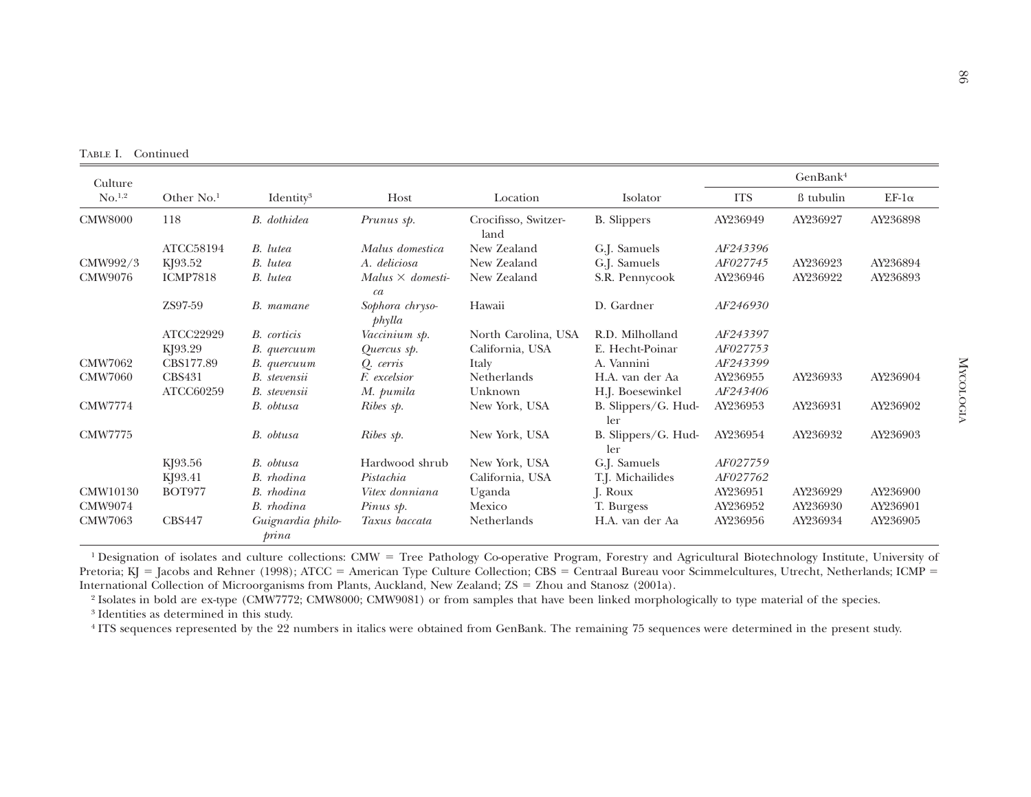TABLE I. Continued

| Culture            |                 |                            |                                |                              |                            |            | GenBank <sup>4</sup> |              |
|--------------------|-----------------|----------------------------|--------------------------------|------------------------------|----------------------------|------------|----------------------|--------------|
| No. <sup>1,2</sup> | Other $No.1$    | Identity <sup>3</sup>      | Host                           | Location                     | Isolator                   | <b>ITS</b> | ß tubulin            | $EF-1\alpha$ |
| <b>CMW8000</b>     | 118             | B. dothidea                | Prunus sp.                     | Crocifisso, Switzer-<br>land | <b>B.</b> Slippers         | AY236949   | AY236927             | AY236898     |
|                    | ATCC58194       | B. lutea                   | Malus domestica                | New Zealand                  | G.J. Samuels               | AF243396   |                      |              |
| CMW992/3           | KJ93.52         | B. lutea                   | A. deliciosa                   | New Zealand                  | G.J. Samuels               | AF027745   | AY236923             | AY236894     |
| CMW9076            | <b>ICMP7818</b> | B. lutea                   | Malus $\times$ domesti-<br>ca  | New Zealand                  | S.R. Pennycook             | AY236946   | AY236922             | AY236893     |
|                    | ZS97-59         | B. mamane                  | Sophora chryso-<br>$ph\n$ ylla | Hawaii                       | D. Gardner                 | AF246930   |                      |              |
|                    | ATCC22929       | <b>B.</b> corticis         | Vaccinium sp.                  | North Carolina, USA          | R.D. Milholland            | AF243397   |                      |              |
|                    | KJ93.29         | B. quercuum                | Quercus sp.                    | California, USA              | E. Hecht-Poinar            | AF027753   |                      |              |
| <b>CMW7062</b>     | CBS177.89       | B. quercuum                | Q. cerris                      | Italy                        | A. Vannini                 | AF243399   |                      |              |
| <b>CMW7060</b>     | <b>CBS431</b>   | B. stevensii               | F. excelsior                   | <b>Netherlands</b>           | H.A. van der Aa            | AY236955   | AY236933             | AY236904     |
|                    | ATCC60259       | B. stevensii               | M. pumila                      | Unknown                      | H.J. Boesewinkel           | AF243406   |                      |              |
| <b>CMW7774</b>     |                 | B. obtusa                  | Ribes sp.                      | New York, USA                | B. Slippers/G. Hud-<br>ler | AY236953   | AY236931             | AY236902     |
| <b>CMW7775</b>     |                 | B. obtusa                  | Ribes sp.                      | New York, USA                | B. Slippers/G. Hud-<br>ler | AY236954   | AY236932             | AY236903     |
|                    | KJ93.56         | B. obtusa                  | Hardwood shrub                 | New York, USA                | G.J. Samuels               | AF027759   |                      |              |
|                    | KJ93.41         | B. rhodina                 | Pistachia                      | California, USA              | T.J. Michailides           | AF027762   |                      |              |
| CMW10130           | <b>BOT977</b>   | B. rhodina                 | Vitex donniana                 | Uganda                       | J. Roux                    | AY236951   | AY236929             | AY236900     |
| CMW9074            |                 | B. rhodina                 | Pinus sp.                      | Mexico                       | T. Burgess                 | AY236952   | AY236930             | AY236901     |
| <b>CMW7063</b>     | <b>CBS447</b>   | Guignardia philo-<br>prina | Taxus baccata                  | <b>Netherlands</b>           | H.A. van der Aa            | AY236956   | AY236934             | AY236905     |

<sup>1</sup> Designation of isolates and culture collections: CMW = Tree Pathology Co-operative Program, Forestry and Agricultural Biotechnology Institute, University of  $\epsilon$  and Behave (1008), ATCC = Agregiana Tree Culture Celles Pretoria; KJ = Jacobs and Rehner (1998); ATCC = American Type Culture Collection; CBS = Centraal Bureau voor Scimmelcultures, Utrecht, Netherlands; ICMP =<br>International Callection of Mine convenienceform Planta Angeland Ne International Collection of Microorganisms from Plants, Auckland, New Zealand; ZS = Zhou and Stanosz (2001a).<br>2 Isabetes in hald and gramme (CMW7779, CMW9000, CMW9001), as from asmal satisfact ham have linked magnha

2 Isolates in bold are ex-type (CMW7772; CMW8000; CMW9081) or from samples that have been linked morphologically to type material of the species. 3 Identities as determined in this study.

4 ITS sequences represented by the 22 numbers in italics were obtained from GenBank. The remaining 75 sequences were determined in the presen<sup>t</sup> study.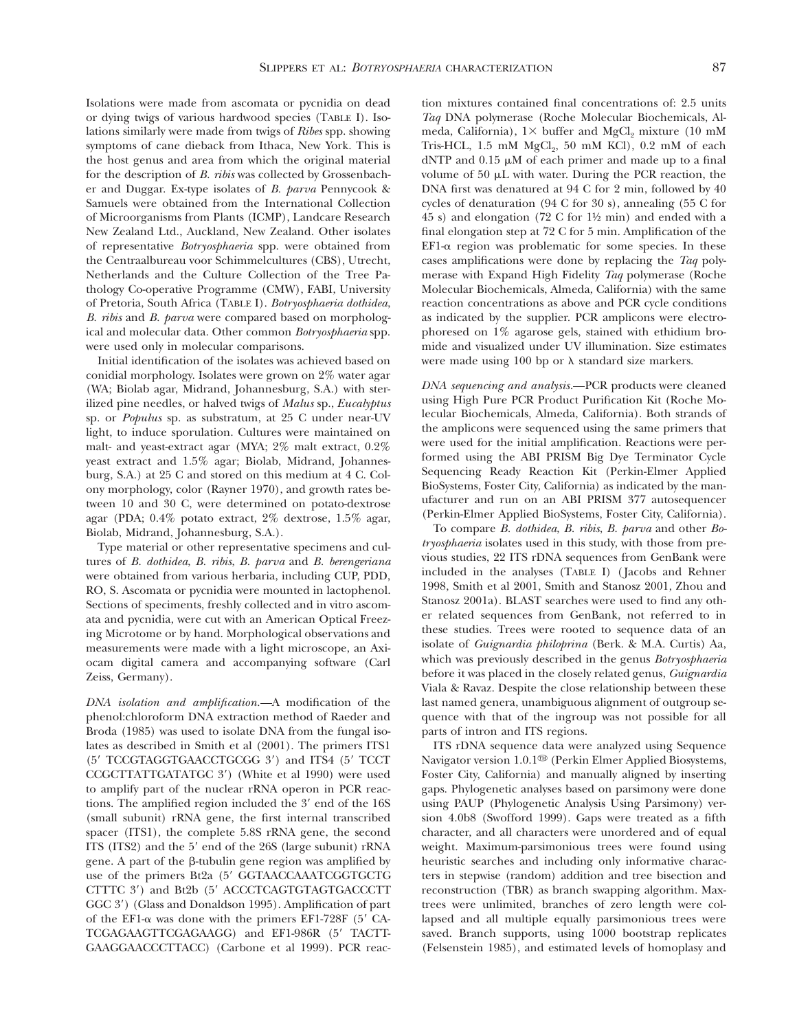Isolations were made from ascomata or pycnidia on dead or dying twigs of various hardwood species (TABLE I). Isolations similarly were made from twigs of *Ribes* spp. showing symptoms of cane dieback from Ithaca, New York. This is the host genus and area from which the original material for the description of *B. ribis* was collected by Grossenbacher and Duggar. Ex-type isolates of *B. parva* Pennycook & Samuels were obtained from the International Collection of Microorganisms from Plants (ICMP), Landcare Research New Zealand Ltd., Auckland, New Zealand. Other isolates of representative *Botryosphaeria* spp. were obtained from the Centraalbureau voor Schimmelcultures (CBS), Utrecht, Netherlands and the Culture Collection of the Tree Pathology Co-operative Programme (CMW), FABI, University of Pretoria, South Africa (TABLE I). *Botryosphaeria dothidea*, *B. ribis* and *B. parva* were compared based on morphological and molecular data. Other common *Botryosphaeria* spp. were used only in molecular comparisons.

Initial identification of the isolates was achieved based on conidial morphology. Isolates were grown on 2% water agar (WA; Biolab agar, Midrand, Johannesburg, S.A.) with sterilized pine needles, or halved twigs of *Malus* sp., *Eucalyptus* sp. or *Populus* sp. as substratum, at 25 C under near-UV light, to induce sporulation. Cultures were maintained on malt- and yeast-extract agar (MYA; 2% malt extract, 0.2% yeast extract and 1.5% agar; Biolab, Midrand, Johannesburg, S.A.) at 25 C and stored on this medium at 4 C. Colony morphology, color (Rayner 1970), and growth rates between 10 and 30 C, were determined on potato-dextrose agar (PDA; 0.4% potato extract, 2% dextrose, 1.5% agar, Biolab, Midrand, Johannesburg, S.A.).

Type material or other representative specimens and cultures of *B. dothidea*, *B. ribis*, *B. parva* and *B. berengeriana* were obtained from various herbaria, including CUP, PDD, RO, S. Ascomata or pycnidia were mounted in lactophenol. Sections of speciments, freshly collected and in vitro ascomata and pycnidia, were cut with an American Optical Freezing Microtome or by hand. Morphological observations and measurements were made with a light microscope, an Axiocam digital camera and accompanying software (Carl Zeiss, Germany).

*DNA isolation and amplification.* A modification of the phenol:chloroform DNA extraction method of Raeder and Broda (1985) was used to isolate DNA from the fungal isolates as described in Smith et al (2001). The primers ITS1 (5' TCCGTAGGTGAACCTGCGG 3') and ITS4 (5' TCCT CCGCTTATTGATATGC 3') (White et al 1990) were used to amplify part of the nuclear rRNA operon in PCR reactions. The amplified region included the  $3'$  end of the  $16S$ (small subunit) rRNA gene, the first internal transcribed spacer (ITS1), the complete 5.8S rRNA gene, the second ITS (ITS2) and the 5' end of the 26S (large subunit) rRNA gene. A part of the  $\beta$ -tubulin gene region was amplified by use of the primers Bt2a (5' GGTAACCAAATCGGTGCTG CTTTC 3') and Bt2b (5' ACCCTCAGTGTAGTGACCCTT GGC 3') (Glass and Donaldson 1995). Amplification of part of the EF1- $\alpha$  was done with the primers EF1-728F (5' CA-TCGAGAAGTTCGAGAAGG) and EF1-986R (5' TACTT-GAAGGAACCCTTACC) (Carbone et al 1999). PCR reaction mixtures contained final concentrations of: 2.5 units *Taq* DNA polymerase (Roche Molecular Biochemicals, Almeda, California),  $1 \times$  buffer and MgCl<sub>2</sub> mixture (10 mM  $Tris-HCL$ ,  $1.5 \text{ mM } MgCl<sub>2</sub>$ ,  $50 \text{ mM } KCl$ ),  $0.2 \text{ mM }$  of each  $dNTP$  and 0.15  $\mu$ M of each primer and made up to a final volume of  $50 \mu L$  with water. During the PCR reaction, the DNA first was denatured at 94 C for 2 min, followed by 40 cycles of denaturation (94 C for 30 s), annealing (55 C for 45 s) and elongation (72 C for 1½ min) and ended with a final elongation step at 72 C for 5 min. Amplification of the  $EFL-\alpha$  region was problematic for some species. In these cases amplifications were done by replacing the *Taq* polymerase with Expand High Fidelity *Taq* polymerase (Roche Molecular Biochemicals, Almeda, California) with the same reaction concentrations as above and PCR cycle conditions as indicated by the supplier. PCR amplicons were electrophoresed on 1% agarose gels, stained with ethidium bromide and visualized under UV illumination. Size estimates were made using 100 bp or  $\lambda$  standard size markers.

DNA sequencing and analysis.**---PCR** products were cleaned using High Pure PCR Product Purification Kit (Roche Molecular Biochemicals, Almeda, California). Both strands of the amplicons were sequenced using the same primers that were used for the initial amplification. Reactions were performed using the ABI PRISM Big Dye Terminator Cycle Sequencing Ready Reaction Kit (Perkin-Elmer Applied BioSystems, Foster City, California) as indicated by the manufacturer and run on an ABI PRISM 377 autosequencer (Perkin-Elmer Applied BioSystems, Foster City, California).

To compare *B. dothidea*, *B. ribis*, *B. parva* and other *Botryosphaeria* isolates used in this study, with those from previous studies, 22 ITS rDNA sequences from GenBank were included in the analyses (TABLE I) ( Jacobs and Rehner 1998, Smith et al 2001, Smith and Stanosz 2001, Zhou and Stanosz 2001a). BLAST searches were used to find any other related sequences from GenBank, not referred to in these studies. Trees were rooted to sequence data of an isolate of *Guignardia philoprina* (Berk. & M.A. Curtis) Aa, which was previously described in the genus *Botryosphaeria* before it was placed in the closely related genus, *Guignardia* Viala & Ravaz. Despite the close relationship between these last named genera, unambiguous alignment of outgroup sequence with that of the ingroup was not possible for all parts of intron and ITS regions.

ITS rDNA sequence data were analyzed using Sequence Navigator version 1.0.1<sup>®</sup> (Perkin Elmer Applied Biosystems, Foster City, California) and manually aligned by inserting gaps. Phylogenetic analyses based on parsimony were done using PAUP (Phylogenetic Analysis Using Parsimony) version 4.0b8 (Swofford 1999). Gaps were treated as a fifth character, and all characters were unordered and of equal weight. Maximum-parsimonious trees were found using heuristic searches and including only informative characters in stepwise (random) addition and tree bisection and reconstruction (TBR) as branch swapping algorithm. Maxtrees were unlimited, branches of zero length were collapsed and all multiple equally parsimonious trees were saved. Branch supports, using 1000 bootstrap replicates (Felsenstein 1985), and estimated levels of homoplasy and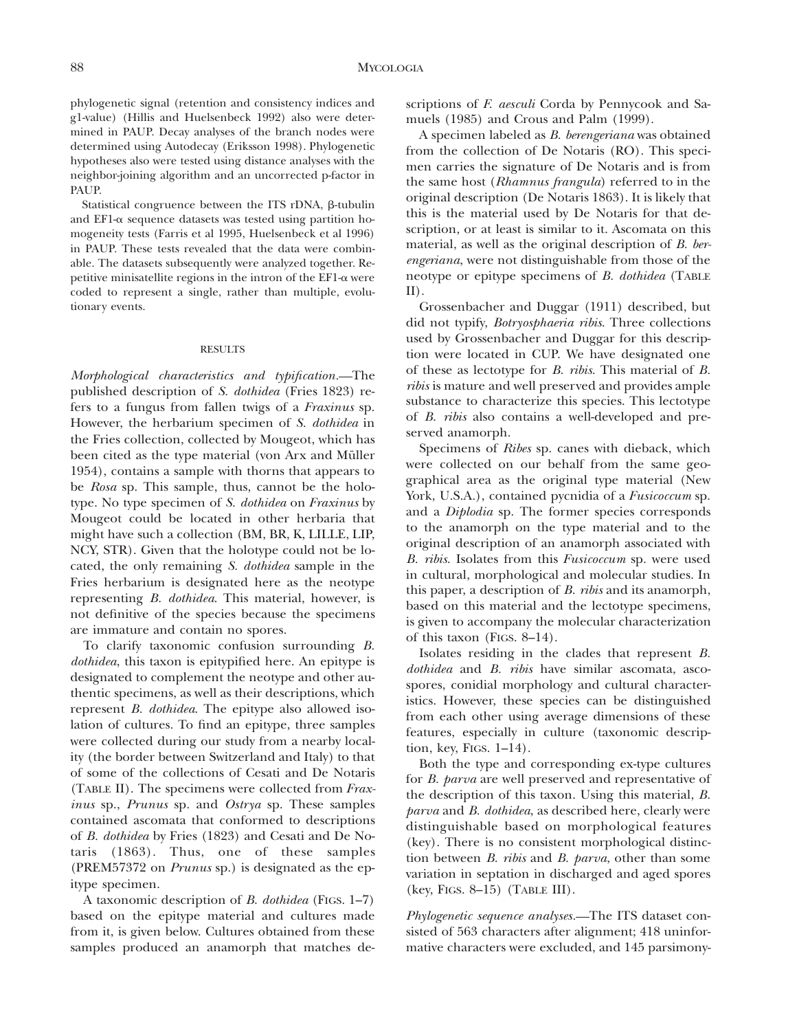phylogenetic signal (retention and consistency indices and g1-value) (Hillis and Huelsenbeck 1992) also were determined in PAUP. Decay analyses of the branch nodes were determined using Autodecay (Eriksson 1998). Phylogenetic hypotheses also were tested using distance analyses with the neighbor-joining algorithm and an uncorrected p-factor in PAUP.

Statistical congruence between the ITS rDNA,  $\beta$ -tubulin and EF1- $\alpha$  sequence datasets was tested using partition homogeneity tests (Farris et al 1995, Huelsenbeck et al 1996) in PAUP. These tests revealed that the data were combinable. The datasets subsequently were analyzed together. Repetitive minisatellite regions in the intron of the EF1-a were coded to represent a single, rather than multiple, evolutionary events.

#### RESULTS

*Morphological characteristics and typification.* The published description of *S. dothidea* (Fries 1823) refers to a fungus from fallen twigs of a *Fraxinus* sp. However, the herbarium specimen of *S. dothidea* in the Fries collection, collected by Mougeot, which has been cited as the type material (von Arx and Müller 1954), contains a sample with thorns that appears to be *Rosa* sp. This sample, thus, cannot be the holotype. No type specimen of *S. dothidea* on *Fraxinus* by Mougeot could be located in other herbaria that might have such a collection (BM, BR, K, LILLE, LIP, NCY, STR). Given that the holotype could not be located, the only remaining *S. dothidea* sample in the Fries herbarium is designated here as the neotype representing *B. dothidea*. This material, however, is not definitive of the species because the specimens are immature and contain no spores.

To clarify taxonomic confusion surrounding *B. dothidea*, this taxon is epitypified here. An epitype is designated to complement the neotype and other authentic specimens, as well as their descriptions, which represent *B. dothidea*. The epitype also allowed isolation of cultures. To find an epitype, three samples were collected during our study from a nearby locality (the border between Switzerland and Italy) to that of some of the collections of Cesati and De Notaris (TABLE II). The specimens were collected from *Fraxinus* sp., *Prunus* sp. and *Ostrya* sp. These samples contained ascomata that conformed to descriptions of *B. dothidea* by Fries (1823) and Cesati and De Notaris (1863). Thus, one of these samples (PREM57372 on *Prunus* sp.) is designated as the epitype specimen.

A taxonomic description of *B. dothidea* (FIGS. 1–7) based on the epitype material and cultures made from it, is given below. Cultures obtained from these samples produced an anamorph that matches descriptions of *F. aesculi* Corda by Pennycook and Samuels (1985) and Crous and Palm (1999).

A specimen labeled as *B. berengeriana* was obtained from the collection of De Notaris (RO). This specimen carries the signature of De Notaris and is from the same host (*Rhamnus frangula*) referred to in the original description (De Notaris 1863). It is likely that this is the material used by De Notaris for that description, or at least is similar to it. Ascomata on this material, as well as the original description of *B. berengeriana*, were not distinguishable from those of the neotype or epitype specimens of *B. dothidea* (TABLE II).

Grossenbacher and Duggar (1911) described, but did not typify, *Botryosphaeria ribis*. Three collections used by Grossenbacher and Duggar for this description were located in CUP. We have designated one of these as lectotype for *B. ribis*. This material of *B. ribis* is mature and well preserved and provides ample substance to characterize this species. This lectotype of *B. ribis* also contains a well-developed and preserved anamorph.

Specimens of *Ribes* sp. canes with dieback, which were collected on our behalf from the same geographical area as the original type material (New York, U.S.A.), contained pycnidia of a *Fusicoccum* sp. and a *Diplodia* sp. The former species corresponds to the anamorph on the type material and to the original description of an anamorph associated with *B. ribis*. Isolates from this *Fusicoccum* sp. were used in cultural, morphological and molecular studies. In this paper, a description of *B. ribis* and its anamorph, based on this material and the lectotype specimens, is given to accompany the molecular characterization of this taxon (FIGS. 8–14).

Isolates residing in the clades that represent *B. dothidea* and *B. ribis* have similar ascomata, ascospores, conidial morphology and cultural characteristics. However, these species can be distinguished from each other using average dimensions of these features, especially in culture (taxonomic description, key, FIGS. 1–14).

Both the type and corresponding ex-type cultures for *B. parva* are well preserved and representative of the description of this taxon. Using this material, *B. parva* and *B. dothidea*, as described here, clearly were distinguishable based on morphological features (key). There is no consistent morphological distinction between *B. ribis* and *B. parva*, other than some variation in septation in discharged and aged spores (key, FIGS. 8–15) (TABLE III).

*Phylogenetic sequence analyses.* The ITS dataset consisted of 563 characters after alignment; 418 uninformative characters were excluded, and 145 parsimony-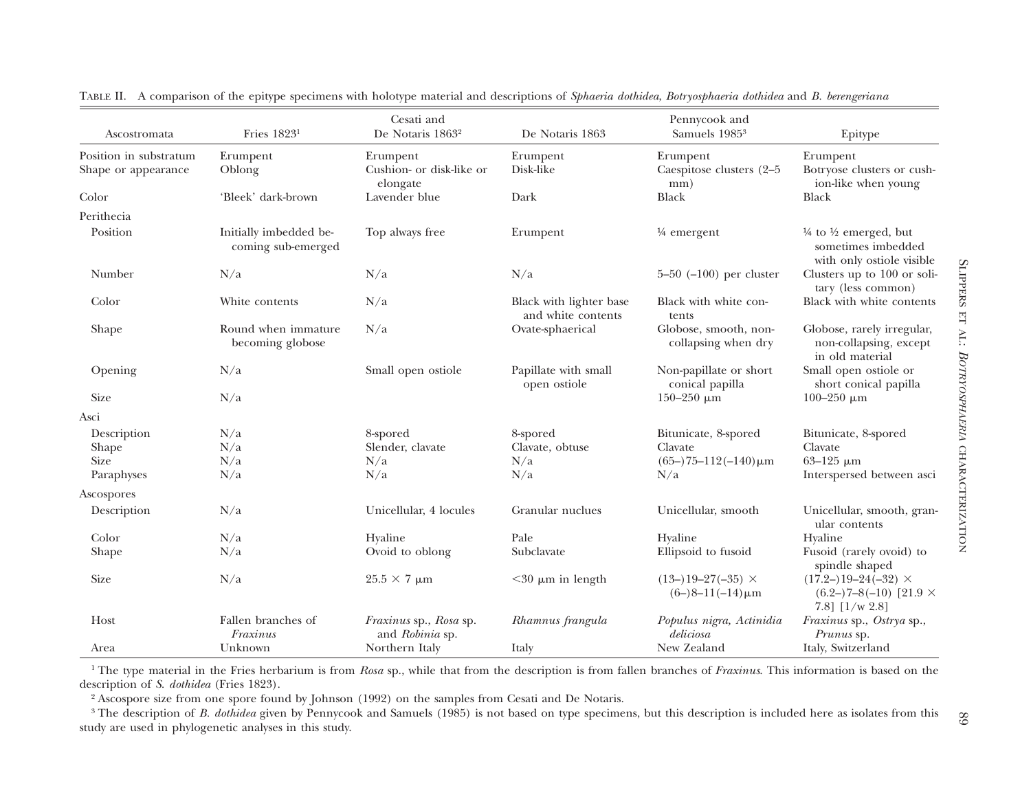| Ascostromata                                  | Fries 1823 <sup>1</sup>                      | Cesati and<br>De Notaris 1863 <sup>2</sup>       | De Notaris 1863                               | Pennycook and<br>Samuels 1985 <sup>3</sup>          | Epitype                                                                                        |
|-----------------------------------------------|----------------------------------------------|--------------------------------------------------|-----------------------------------------------|-----------------------------------------------------|------------------------------------------------------------------------------------------------|
|                                               |                                              |                                                  |                                               |                                                     |                                                                                                |
| Position in substratum<br>Shape or appearance | Erumpent<br>Oblong                           | Erumpent<br>Cushion- or disk-like or<br>elongate | Erumpent<br>Disk-like                         | Erumpent<br>Caespitose clusters (2-5<br>mm)         | Erumpent<br>Botryose clusters or cush-<br>ion-like when young                                  |
| Color                                         | 'Bleek' dark-brown                           | Lavender blue                                    | Dark                                          | <b>Black</b>                                        | <b>Black</b>                                                                                   |
| Perithecia                                    |                                              |                                                  |                                               |                                                     |                                                                                                |
| Position                                      | Initially imbedded be-<br>coming sub-emerged | Top always free                                  | Erumpent                                      | $\frac{1}{4}$ emergent                              | $\frac{1}{4}$ to $\frac{1}{2}$ emerged, but<br>sometimes imbedded<br>with only ostiole visible |
| Number                                        | N/a                                          | N/a                                              | N/a                                           | 5-50 $(-100)$ per cluster                           | Clusters up to 100 or soli-<br>tary (less common)                                              |
| Color                                         | White contents                               | N/a                                              | Black with lighter base<br>and white contents | Black with white con-<br>tents                      | Black with white contents                                                                      |
| Shape                                         | Round when immature<br>becoming globose      | N/a                                              | Ovate-sphaerical                              | Globose, smooth, non-<br>collapsing when dry        | Globose, rarely irregular,<br>non-collapsing, except<br>in old material                        |
| Opening                                       | N/a                                          | Small open ostiole                               | Papillate with small<br>open ostiole          | Non-papillate or short<br>conical papilla           | Small open ostiole or<br>short conical papilla                                                 |
| <b>Size</b>                                   | N/a                                          |                                                  |                                               | 150-250 $μm$                                        | 100-250 $μm$                                                                                   |
| Asci                                          |                                              |                                                  |                                               |                                                     |                                                                                                |
| Description                                   | N/a                                          | 8-spored                                         | 8-spored                                      | Bitunicate, 8-spored                                | Bitunicate, 8-spored                                                                           |
| Shape                                         | N/a                                          | Slender, clavate                                 | Clavate, obtuse                               | Clavate                                             | Clavate                                                                                        |
| <b>Size</b>                                   | N/a                                          | N/a                                              | N/a                                           | $(65-)75-112(-140)\,\mu m$                          | $63 - 125 \mu m$                                                                               |
| Paraphyses                                    | N/a                                          | N/a                                              | N/a                                           | N/a                                                 | Interspersed between asci                                                                      |
| Ascospores                                    |                                              |                                                  |                                               |                                                     |                                                                                                |
| Description                                   | N/a                                          | Unicellular, 4 locules                           | Granular nuclues                              | Unicellular, smooth                                 | Unicellular, smooth, gran-<br>ular contents                                                    |
| Color                                         | N/a                                          | Hyaline                                          | Pale                                          | Hyaline                                             | Hyaline                                                                                        |
| Shape                                         | N/a                                          | Ovoid to oblong                                  | Subclavate                                    | Ellipsoid to fusoid                                 | Fusoid (rarely ovoid) to<br>spindle shaped                                                     |
| <b>Size</b>                                   | N/a                                          | $25.5 \times 7 \mu m$                            | $<$ 30 $\mu$ m in length                      | $(13-)19-27(-35) \times$<br>$(6-)8-11(-14) \,\mu m$ | $(17.2-)19-24(-32)$ ×<br>$(6.2-)7-8(-10)$ [21.9 $\times$<br>7.8] $[1/w 2.8]$                   |
| Host                                          | Fallen branches of<br>Fraxinus               | Fraxinus sp., Rosa sp.<br>and Robinia sp.        | Rhamnus frangula                              | Populus nigra, Actinidia<br>deliciosa               | Fraxinus sp., Ostrya sp.,<br>Prunus sp.                                                        |
| Area                                          | Unknown                                      | Northern Italy                                   | Italy                                         | New Zealand                                         | Italy, Switzerland                                                                             |

TABLE II. <sup>A</sup> comparison of the epitype specimens with holotype material and descriptions of *Sphaeria dothidea*, *Botryosphaeria dothidea* and *B. berengeriana*

<sup>1</sup> The type material in the Fries herbarium is from *Rosa* sp., while that from the description is from fallen branches of *Fraxinus*. This information is based on the critician of S. dettides (Fries 1999) description of *S. dothidea* (Fries 1823).

2 Ascospore size from one spore found by Johnson (1992) on the samples from Cesati and De Notaris.

89 3 The description of *B. dothidea* <sup>g</sup>iven by Pennycook and Samuels (1985) is not based on type specimens, but this description is included here as isolates from this study are used in phylogenetic analyses in this study.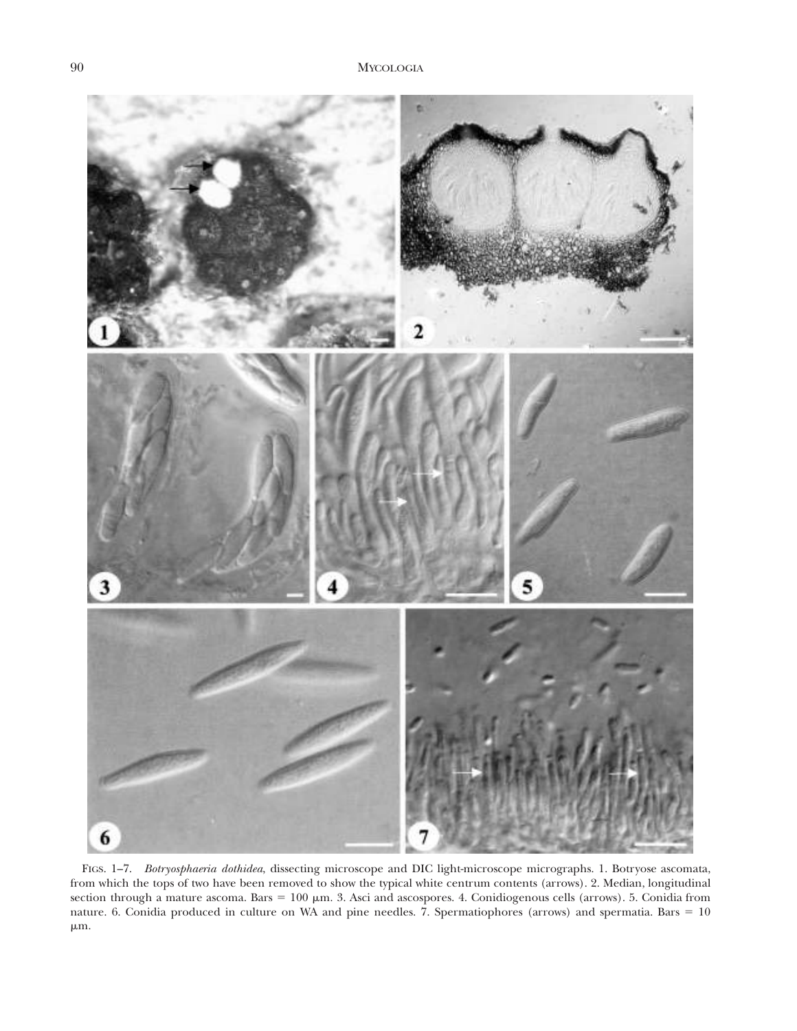

FIGS. 1–7. *Botryosphaeria dothidea*, dissecting microscope and DIC light-microscope micrographs. 1. Botryose ascomata, from which the tops of two have been removed to show the typical white centrum contents (arrows). 2. Median, longitudinal section through a mature ascoma. Bars =  $100 \mu m$ . 3. Asci and ascospores. 4. Conidiogenous cells (arrows). 5. Conidia from nature. 6. Conidia produced in culture on WA and pine needles. 7. Spermatiophores (arrows) and spermatia. Bars  $= 10$  $\mu$ m.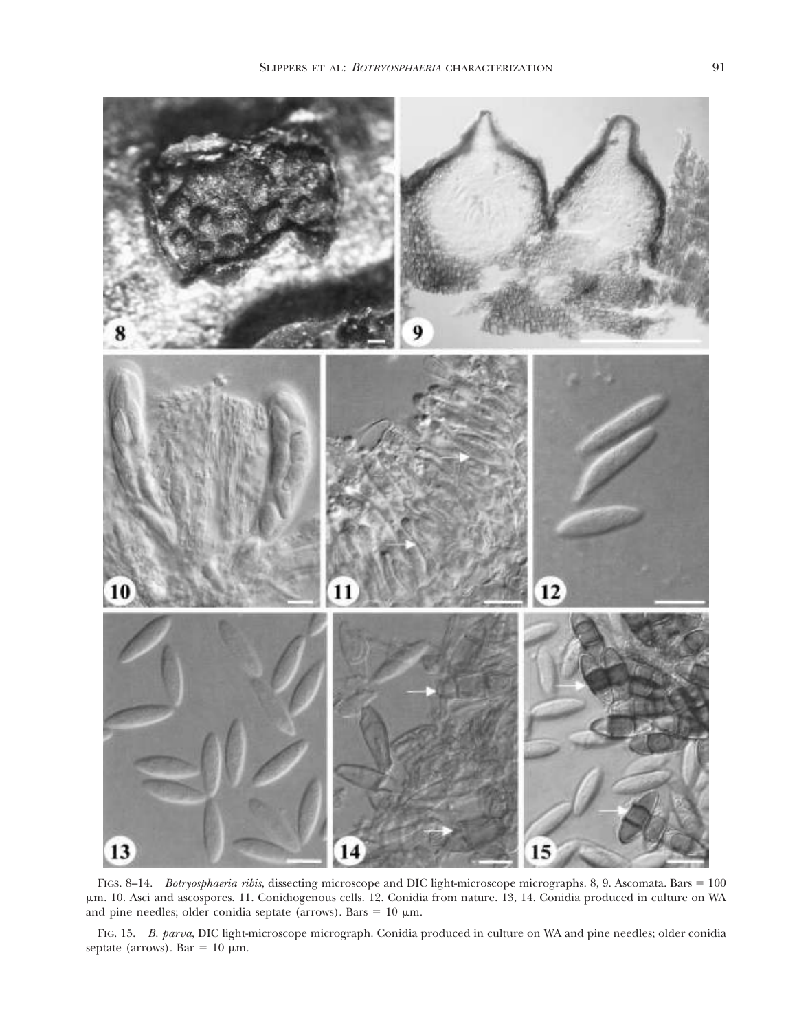

FIGS. 8-14. *Botryosphaeria ribis*, dissecting microscope and DIC light-microscope micrographs. 8, 9. Ascomata. Bars = 100 mm. 10. Asci and ascospores. 11. Conidiogenous cells. 12. Conidia from nature. 13, 14. Conidia produced in culture on WA and pine needles; older conidia septate (arrows). Bars =  $10 \mu m$ .

FIG. 15. *B. parva*, DIC light-microscope micrograph. Conidia produced in culture on WA and pine needles; older conidia septate (arrows). Bar =  $10 \mu$ m.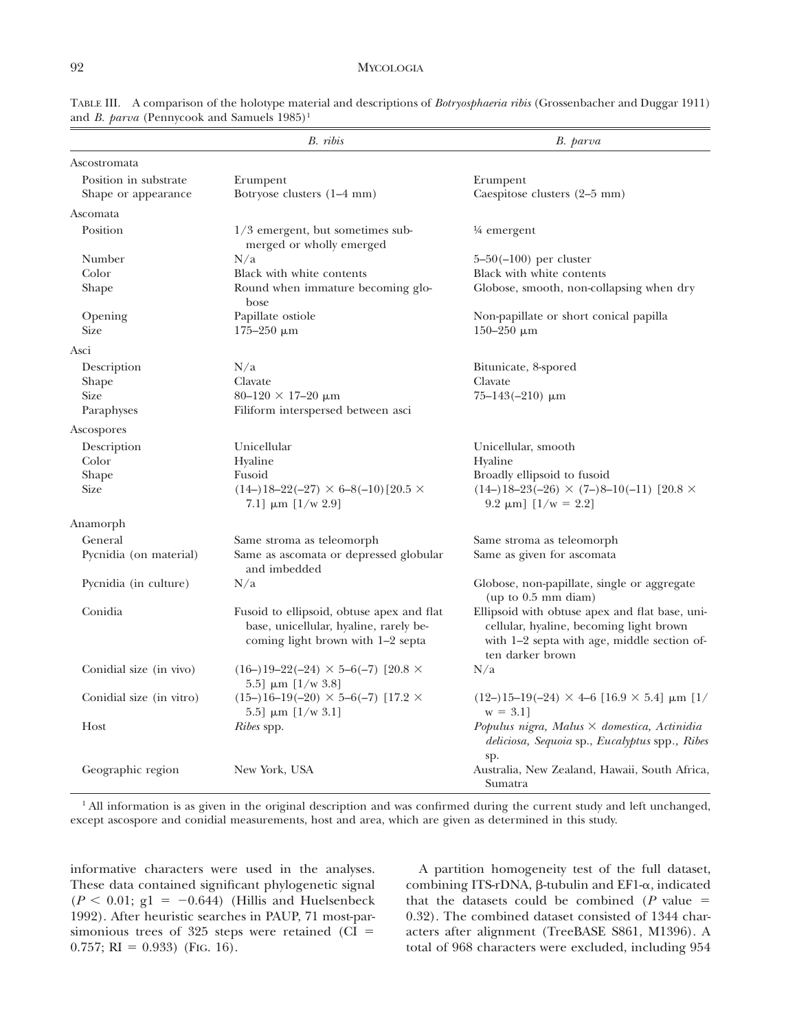|                          | B. ribis                                                                                                                 | B. parva                                                                                                                                                     |
|--------------------------|--------------------------------------------------------------------------------------------------------------------------|--------------------------------------------------------------------------------------------------------------------------------------------------------------|
| Ascostromata             |                                                                                                                          |                                                                                                                                                              |
| Position in substrate    | Erumpent                                                                                                                 | Erumpent                                                                                                                                                     |
| Shape or appearance      | Botryose clusters (1-4 mm)                                                                                               | Caespitose clusters (2-5 mm)                                                                                                                                 |
| Ascomata                 |                                                                                                                          |                                                                                                                                                              |
| Position                 | 1/3 emergent, but sometimes sub-<br>merged or wholly emerged                                                             | $\frac{1}{4}$ emergent                                                                                                                                       |
| Number                   | N/a                                                                                                                      | $5 - 50(-100)$ per cluster                                                                                                                                   |
| Color                    | Black with white contents                                                                                                | Black with white contents                                                                                                                                    |
| Shape                    | Round when immature becoming glo-<br>bose                                                                                | Globose, smooth, non-collapsing when dry                                                                                                                     |
| Opening                  | Papillate ostiole                                                                                                        | Non-papillate or short conical papilla                                                                                                                       |
| <b>Size</b>              | $175 - 250 \mu m$                                                                                                        | 150-250 $μm$                                                                                                                                                 |
| Asci                     |                                                                                                                          |                                                                                                                                                              |
| Description              | N/a                                                                                                                      | Bitunicate, 8-spored                                                                                                                                         |
| Shape                    | Clavate                                                                                                                  | Clavate                                                                                                                                                      |
| <b>Size</b>              | $80\text{--}120$ $\times$ 17-20 $\upmu \text{m}$                                                                         | $75 - 143(-210)$ µm                                                                                                                                          |
| Paraphyses               | Filiform interspersed between asci                                                                                       |                                                                                                                                                              |
| Ascospores               |                                                                                                                          |                                                                                                                                                              |
| Description              | Unicellular                                                                                                              | Unicellular, smooth                                                                                                                                          |
| Color                    | Hyaline                                                                                                                  | Hyaline                                                                                                                                                      |
| Shape                    | Fusoid                                                                                                                   | Broadly ellipsoid to fusoid                                                                                                                                  |
| <b>Size</b>              | $(14-)18-22(-27) \times 6-8(-10)$ [20.5 ×<br>7.1] $\mu$ m [1/w 2.9]                                                      | $(14-)18-23(-26) \times (7-)8-10(-11)$ [20.8 $\times$<br>9.2 $\mu$ m] [1/w = 2.2]                                                                            |
| Anamorph                 |                                                                                                                          |                                                                                                                                                              |
| General                  | Same stroma as teleomorph                                                                                                | Same stroma as teleomorph                                                                                                                                    |
| Pycnidia (on material)   | Same as ascomata or depressed globular<br>and imbedded                                                                   | Same as given for ascomata                                                                                                                                   |
| Pycnidia (in culture)    | N/a                                                                                                                      | Globose, non-papillate, single or aggregate<br>(up to 0.5 mm diam)                                                                                           |
| Conidia                  | Fusoid to ellipsoid, obtuse apex and flat<br>base, unicellular, hyaline, rarely be-<br>coming light brown with 1–2 septa | Ellipsoid with obtuse apex and flat base, uni-<br>cellular, hyaline, becoming light brown<br>with 1-2 septa with age, middle section of-<br>ten darker brown |
| Conidial size (in vivo)  | $(16-)19-22(-24) \times 5-6(-7)$ [20.8 $\times$<br>5.5 $\mu$ m [1/w 3.8]                                                 | N/a                                                                                                                                                          |
| Conidial size (in vitro) | $(15-)16-19(-20) \times 5-6(-7)$ [17.2 $\times$<br>5.5] $\mu$ m [1/w 3.1]                                                | $(12-)15-19(-24) \times 4-6$ [16.9 $\times$ 5.4] $\mu$ m [1/<br>$w = 3.1$                                                                                    |
| Host                     | <i>Ribes</i> spp.                                                                                                        | Populus nigra, Malus $\times$ domestica, Actinidia<br>deliciosa, Sequoia sp., Eucalyptus spp., Ribes<br>sp.                                                  |
| Geographic region        | New York, USA                                                                                                            | Australia, New Zealand, Hawaii, South Africa,<br>Sumatra                                                                                                     |

TABLE III. A comparison of the holotype material and descriptions of *Botryosphaeria ribis* (Grossenbacher and Duggar 1911) and *B. parva* (Pennycook and Samuels 1985)<sup>1</sup>

<sup>1</sup> All information is as given in the original description and was confirmed during the current study and left unchanged, except ascospore and conidial measurements, host and area, which are given as determined in this study.

informative characters were used in the analyses. These data contained significant phylogenetic signal  $(P < 0.01; g1 = -0.644)$  (Hillis and Huelsenbeck 1992). After heuristic searches in PAUP, 71 most-parsimonious trees of 325 steps were retained ( $CI =$  $0.757$ ; RI = 0.933) (FIG. 16).

A partition homogeneity test of the full dataset, combining ITS-rDNA,  $\beta$ -tubulin and EF1- $\alpha$ , indicated that the datasets could be combined ( $P$  value  $=$ 0.32). The combined dataset consisted of 1344 characters after alignment (TreeBASE S861, M1396). A total of 968 characters were excluded, including 954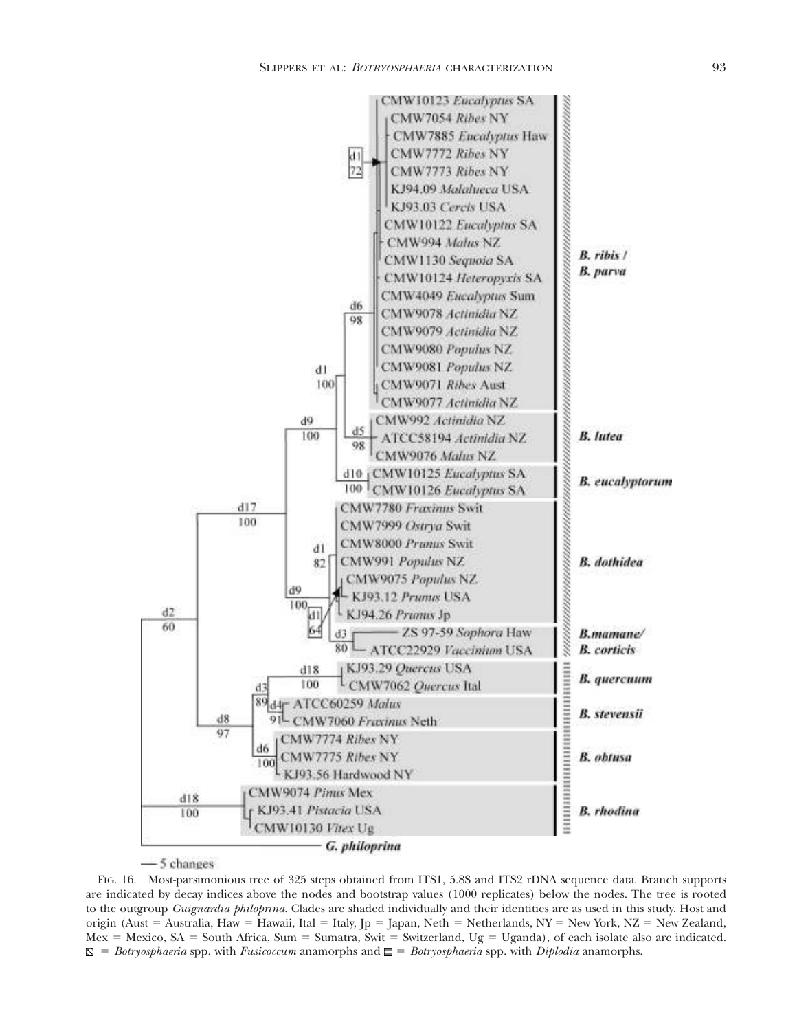

-5 changes

FIG. 16. Most-parsimonious tree of 325 steps obtained from ITS1, 5.8S and ITS2 rDNA sequence data. Branch supports are indicated by decay indices above the nodes and bootstrap values (1000 replicates) below the nodes. The tree is rooted to the outgroup *Guignardia philoprina*. Clades are shaded individually and their identities are as used in this study. Host and origin (Aust = Australia, Haw = Hawaii, Ital = Italy, Jp = Japan, Neth = Netherlands, NY = New York, NZ = New Zealand, Mex = Mexico, SA = South Africa, Sum = Sumatra, Swit = Switzerland, Ug = Uganda), of each isolate also are indicated.  $\mathbb{S}$  = *Botryosphaeria* spp. with *Fusicoccum* anamorphs and  $\Box$  = *Botryosphaeria* spp. with *Diplodia* anamorphs.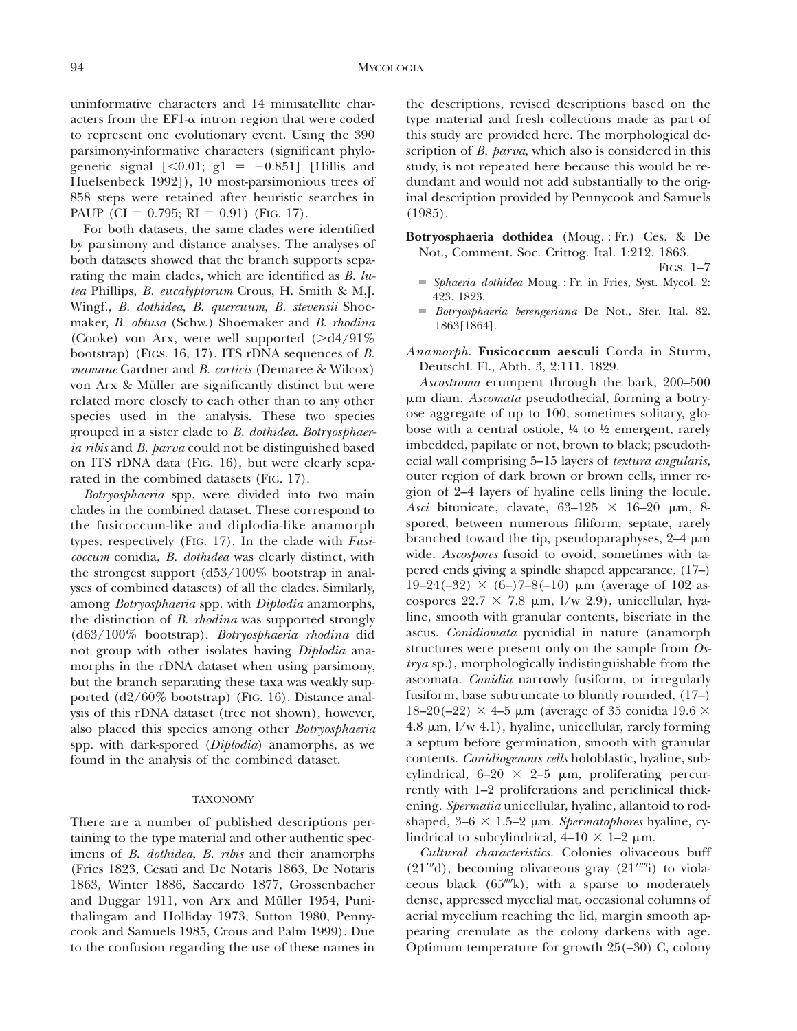uninformative characters and 14 minisatellite characters from the EF1- $\alpha$  intron region that were coded to represent one evolutionary event. Using the 390 parsimony-informative characters (significant phylogenetic signal  $[<0.01; g1 = -0.851]$  [Hillis and Huelsenbeck 1992]), 10 most-parsimonious trees of 858 steps were retained after heuristic searches in PAUP (CI = 0.795; RI = 0.91) (FIG. 17).

For both datasets, the same clades were identified by parsimony and distance analyses. The analyses of both datasets showed that the branch supports separating the main clades, which are identified as *B. lutea* Phillips, *B. eucalyptorum* Crous, H. Smith & M.J. Wingf., *B. dothidea*, *B. quercuum*, *B. stevensii* Shoemaker, *B. obtusa* (Schw.) Shoemaker and *B. rhodina* (Cooke) von Arx, were well supported  $($ >d4/91% bootstrap) (FIGS. 16, 17). ITS rDNA sequences of *B. mamane* Gardner and *B. corticis* (Demaree & Wilcox) von Arx & Müller are significantly distinct but were related more closely to each other than to any other species used in the analysis. These two species grouped in a sister clade to *B. dothidea*. *Botryosphaeria ribis* and *B. parva* could not be distinguished based on ITS rDNA data (FIG. 16), but were clearly separated in the combined datasets (FIG. 17).

*Botryosphaeria* spp. were divided into two main clades in the combined dataset. These correspond to the fusicoccum-like and diplodia-like anamorph types, respectively (FIG. 17). In the clade with *Fusicoccum* conidia, *B. dothidea* was clearly distinct, with the strongest support (d53/100% bootstrap in analyses of combined datasets) of all the clades. Similarly, among *Botryosphaeria* spp. with *Diplodia* anamorphs, the distinction of *B. rhodina* was supported strongly (d63/100% bootstrap). *Botryosphaeria rhodina* did not group with other isolates having *Diplodia* anamorphs in the rDNA dataset when using parsimony, but the branch separating these taxa was weakly supported (d2/60% bootstrap) (FIG. 16). Distance analysis of this rDNA dataset (tree not shown), however, also placed this species among other *Botryosphaeria* spp. with dark-spored (*Diplodia*) anamorphs, as we found in the analysis of the combined dataset.

# TAXONOMY

There are a number of published descriptions pertaining to the type material and other authentic specimens of *B. dothidea*, *B. ribis* and their anamorphs (Fries 1823, Cesati and De Notaris 1863, De Notaris 1863, Winter 1886, Saccardo 1877, Grossenbacher and Duggar 1911, von Arx and Müller 1954, Punithalingam and Holliday 1973, Sutton 1980, Pennycook and Samuels 1985, Crous and Palm 1999). Due to the confusion regarding the use of these names in

the descriptions, revised descriptions based on the type material and fresh collections made as part of this study are provided here. The morphological description of *B. parva*, which also is considered in this study, is not repeated here because this would be redundant and would not add substantially to the original description provided by Pennycook and Samuels (1985).

**Botryosphaeria dothidea** (Moug. : Fr.) Ces. & De Not., Comment. Soc. Crittog. Ital. 1:212. 1863.

FIGS. 1–7

- 5 *Sphaeria dothidea* Moug. : Fr. in Fries, Syst. Mycol. 2: 423. 1823.
- 5 *Botryosphaeria berengeriana* De Not., Sfer. Ital. 82. 1863[1864].
- *Anamorph*. **Fusicoccum aesculi** Corda in Sturm, Deutschl. Fl., Abth. 3, 2:111. 1829.

*Ascostroma* erumpent through the bark, 200–500 mm diam. *Ascomata* pseudothecial, forming a botryose aggregate of up to 100, sometimes solitary, globose with a central ostiole, ¼ to ½ emergent, rarely imbedded, papilate or not, brown to black; pseudothecial wall comprising 5–15 layers of *textura angularis,* outer region of dark brown or brown cells, inner region of 2–4 layers of hyaline cells lining the locule. Asci bitunicate, clavate,  $63-125 \times 16-20$  µm, 8spored, between numerous filiform, septate, rarely branched toward the tip, pseudoparaphyses,  $2-4 \mu m$ wide. *Ascospores* fusoid to ovoid, sometimes with tapered ends giving a spindle shaped appearance, (17–)  $19-24(-32) \times (6-)7-8(-10) \mu m$  (average of 102 ascospores  $22.7 \times 7.8$  µm, l/w 2.9), unicellular, hyaline, smooth with granular contents, biseriate in the ascus. *Conidiomata* pycnidial in nature (anamorph structures were present only on the sample from *Ostrya* sp.), morphologically indistinguishable from the ascomata. *Conidia* narrowly fusiform, or irregularly fusiform, base subtruncate to bluntly rounded, (17–) 18–20(–22)  $\times$  4–5 µm (average of 35 conidia 19.6  $\times$ 4.8  $\mu$ m,  $1/w$  4.1), hyaline, unicellular, rarely forming a septum before germination, smooth with granular contents. *Conidiogenous cells* holoblastic, hyaline, subcylindrical,  $6-20 \times 2-5 \mu m$ , proliferating percurrently with 1–2 proliferations and periclinical thickening. *Spermatia* unicellular, hyaline, allantoid to rodshaped,  $3-6 \times 1.5-2 \mu m$ . *Spermatophores* hyaline, cylindrical to subcylindrical,  $4-10 \times 1-2 \mu m$ .

*Cultural characteristics.* Colonies olivaceous buff  $(21''d)$ , becoming olivaceous gray  $(21''''i)$  to violaceous black  $(65^{\prime\prime\prime\prime}k)$ , with a sparse to moderately dense, appressed mycelial mat, occasional columns of aerial mycelium reaching the lid, margin smooth appearing crenulate as the colony darkens with age. Optimum temperature for growth 25(–30) C, colony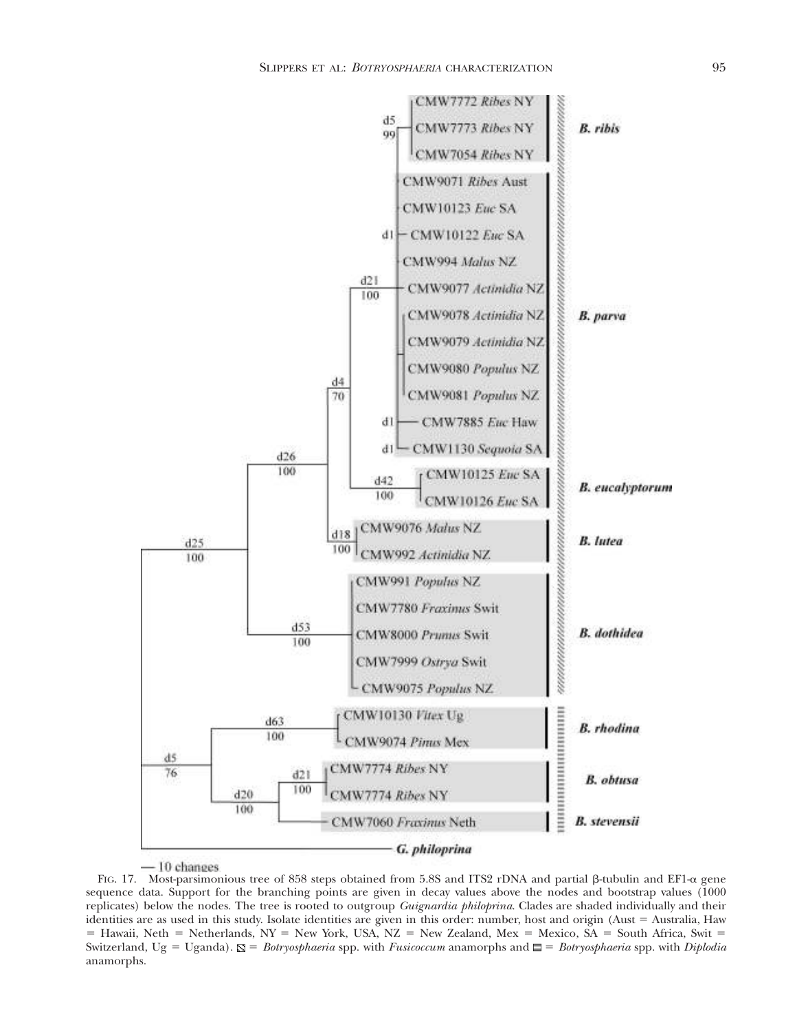

- 10 changes

FIG. 17. Most-parsimonious tree of 858 steps obtained from 5.8S and ITS2 rDNA and partial  $\beta$ -tubulin and EF1- $\alpha$  gene sequence data. Support for the branching points are given in decay values above the nodes and bootstrap values (1000 replicates) below the nodes. The tree is rooted to outgroup *Guignardia philoprina*. Clades are shaded individually and their identities are as used in this study. Isolate identities are given in this order: number, host and origin (Aust = Australia, Haw  $=$  Hawaii, Neth  $=$  Netherlands, NY  $=$  New York, USA, NZ  $=$  New Zealand, Mex  $=$  Mexico, SA  $=$  South Africa, Swit  $=$ Switzerland, Ug 5 Uganda). 5 *Botryosphaeria* spp. with *Fusicoccum* anamorphs and 5 *Botryosphaeria* spp. with *Diplodia* anamorphs.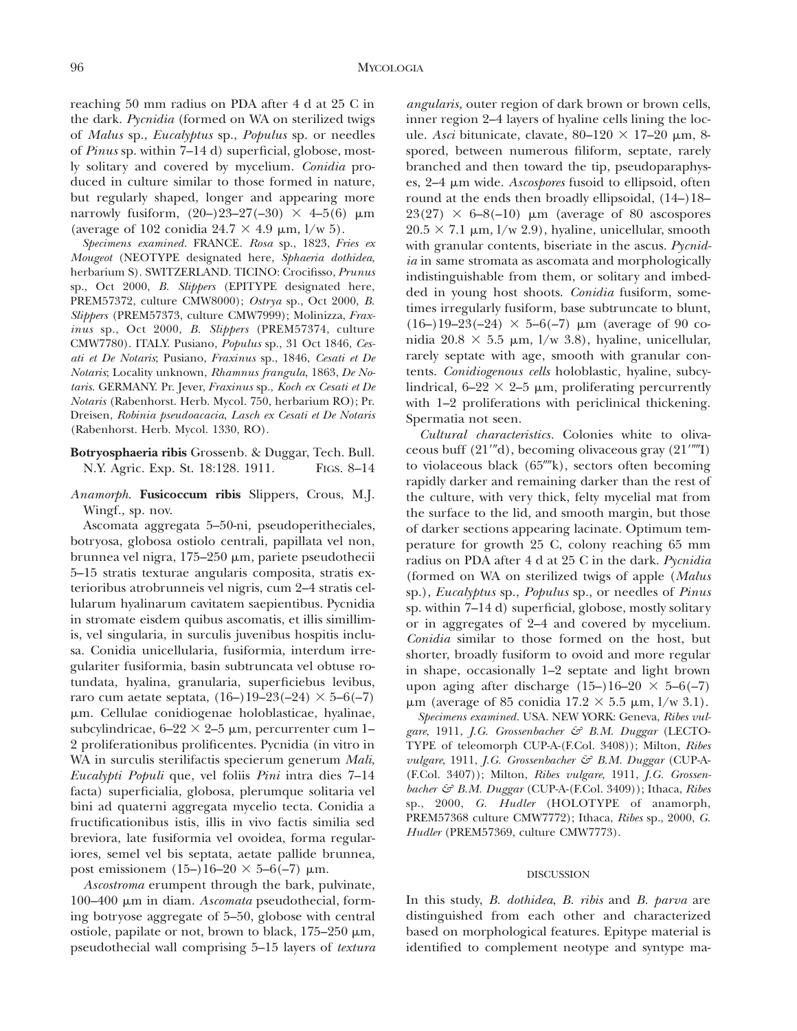reaching 50 mm radius on PDA after 4 d at 25 C in the dark. *Pycnidia* (formed on WA on sterilized twigs of *Malus* sp., *Eucalyptus* sp., *Populus* sp. or needles of *Pinus* sp. within 7–14 d) superficial, globose, mostly solitary and covered by mycelium. *Conidia* produced in culture similar to those formed in nature, but regularly shaped, longer and appearing more narrowly fusiform,  $(20-)23-27(-30) \times 4-5(6) \mu m$ (average of 102 conidia  $24.7 \times 4.9 \mu m$ , l/w 5).

*Specimens examined.* FRANCE. *Rosa* sp., 1823, *Fries ex Mougeot* (NEOTY PE designated here, *Sphaeria dothidea*, herbarium S). SWITZERLAND. TICINO: Crocifisso, *Prunus* sp., Oct 2000, *B. Slippers* (EPITYPE designated here, PREM57372, culture CMW8000); *Ostrya* sp., Oct 2000, *B. Slippers* (PREM57373, culture CMW7999); Molinizza, *Fraxinus* sp., Oct 2000, *B. Slippers* (PREM57374, culture CMW7780). ITALY. Pusiano, *Populus* sp., 31 Oct 1846, *Cesati et De Notaris*; Pusiano, *Fraxinus* sp., 1846, *Cesati et De Notaris*; Locality unknown, *Rhamnus frangula*, 1863, *De Notaris*. GERMANY. Pr. Jever, *Fraxinus* sp., *Koch ex Cesati et De Notaris* (Rabenhorst. Herb. Mycol. 750, herbarium RO); Pr. Dreisen, *Robinia pseudoacacia*, *Lasch ex Cesati et De Notaris* (Rabenhorst. Herb. Mycol. 1330, RO).

- **Botryosphaeria ribis** Grossenb. & Duggar, Tech. Bull. N.Y. Agric. Exp. St. 18:128. 1911. FIGS. 8–14
- *Anamorph*. **Fusicoccum ribis** Slippers, Crous, M.J. Wingf., sp. nov.

Ascomata aggregata 5–50-ni, pseudoperitheciales, botryosa, globosa ostiolo centrali, papillata vel non, brunnea vel nigra, 175–250 µm, pariete pseudothecii 5–15 stratis texturae angularis composita, stratis exterioribus atrobrunneis vel nigris, cum 2–4 stratis cellularum hyalinarum cavitatem saepientibus. Pycnidia in stromate eisdem quibus ascomatis, et illis simillimis, vel singularia, in surculis juvenibus hospitis inclusa. Conidia unicellularia, fusiformia, interdum irregulariter fusiformia, basin subtruncata vel obtuse rotundata, hyalina, granularia, superficiebus levibus, raro cum aetate septata,  $(16-)19-23(-24) \times 5-6(-7)$ mm. Cellulae conidiogenae holoblasticae, hyalinae, subcylindricae,  $6-22 \times 2-5$  µm, percurrenter cum 1-2 proliferationibus prolificentes. Pycnidia (in vitro in WA in surculis sterilifactis specierum generum *Mali*, *Eucalypti Populi* que, vel foliis *Pini* intra dies 7–14 facta) superficialia, globosa, plerumque solitaria vel bini ad quaterni aggregata mycelio tecta. Conidia a fructificationibus istis, illis in vivo factis similia sed breviora, late fusiformia vel ovoidea, forma regulariores, semel vel bis septata, aetate pallide brunnea, post emissionem (15–)16–20  $\times$  5–6(–7)  $\mu$ m.

*Ascostroma* erumpent through the bark, pulvinate, 100–400 mm in diam. *Ascomata* pseudothecial, forming botryose aggregate of 5–50, globose with central ostiole, papilate or not, brown to black,  $175-250 \mu m$ , pseudothecial wall comprising 5–15 layers of *textura*

*angularis,* outer region of dark brown or brown cells, inner region 2–4 layers of hyaline cells lining the locule. *Asci* bitunicate, clavate,  $80-120 \times 17-20 \mu m$ , 8spored, between numerous filiform, septate, rarely branched and then toward the tip, pseudoparaphyses, 2–4 mm wide. *Ascospores* fusoid to ellipsoid, often round at the ends then broadly ellipsoidal, (14–)18–  $23(27) \times 6-8(-10)$  µm (average of 80 ascospores  $20.5 \times 7.1 \mu m$ ,  $1/w$  2.9), hyaline, unicellular, smooth with granular contents, biseriate in the ascus. *Pycnidia* in same stromata as ascomata and morphologically indistinguishable from them, or solitary and imbedded in young host shoots. *Conidia* fusiform, sometimes irregularly fusiform, base subtruncate to blunt, (16–)19–23(–24)  $\times$  5–6(–7)  $\mu$ m (average of 90 conidia  $20.8 \times 5.5 \mu m$ , l/w 3.8), hyaline, unicellular, rarely septate with age, smooth with granular contents. *Conidiogenous cells* holoblastic, hyaline, subcylindrical,  $6-22 \times 2-5$  µm, proliferating percurrently with 1–2 proliferations with periclinical thickening. Spermatia not seen.

*Cultural characteristics.* Colonies white to olivaceous buff  $(21''d)$ , becoming olivaceous gray  $(21''''I)$ to violaceous black  $(65^{\prime\prime\prime\prime}k)$ , sectors often becoming rapidly darker and remaining darker than the rest of the culture, with very thick, felty mycelial mat from the surface to the lid, and smooth margin, but those of darker sections appearing lacinate. Optimum temperature for growth 25 C, colony reaching 65 mm radius on PDA after 4 d at 25 C in the dark. *Pycnidia* (formed on WA on sterilized twigs of apple (*Malus* sp.), *Eucalyptus* sp., *Populus* sp., or needles of *Pinus* sp. within 7–14 d) superficial, globose, mostly solitary or in aggregates of 2–4 and covered by mycelium. *Conidia* similar to those formed on the host, but shorter, broadly fusiform to ovoid and more regular in shape, occasionally 1–2 septate and light brown upon aging after discharge  $(15–)16–20 \times 5–6(-7)$  $\mu$ m (average of 85 conidia 17.2  $\times$  5.5  $\mu$ m, l/w 3.1).

*Specimens examined.* USA. NEW YORK: Geneva, *Ribes vulgare*, 1911, *J.G. Grossenbacher & B.M. Duggar* (LECTO-TY PE of teleomorph CUP-A-(F.Col. 3408)); Milton, *Ribes vulgare*, 1911, *J.G. Grossenbacher & B.M. Duggar* (CUP-A- (F.Col. 3407)); Milton, *Ribes vulgare*, 1911, *J.G. Grossenbacher & B.M. Duggar* (CUP-A-(F.Col. 3409)); Ithaca, *Ribes* sp., 2000, *G. Hudler* (HOLOTYPE of anamorph, PREM57368 culture CMW7772); Ithaca, *Ribes* sp., 2000, *G. Hudler* (PREM57369, culture CMW7773).

#### DISCUSSION

In this study, *B. dothidea*, *B. ribis* and *B. parva* are distinguished from each other and characterized based on morphological features. Epitype material is identified to complement neotype and syntype ma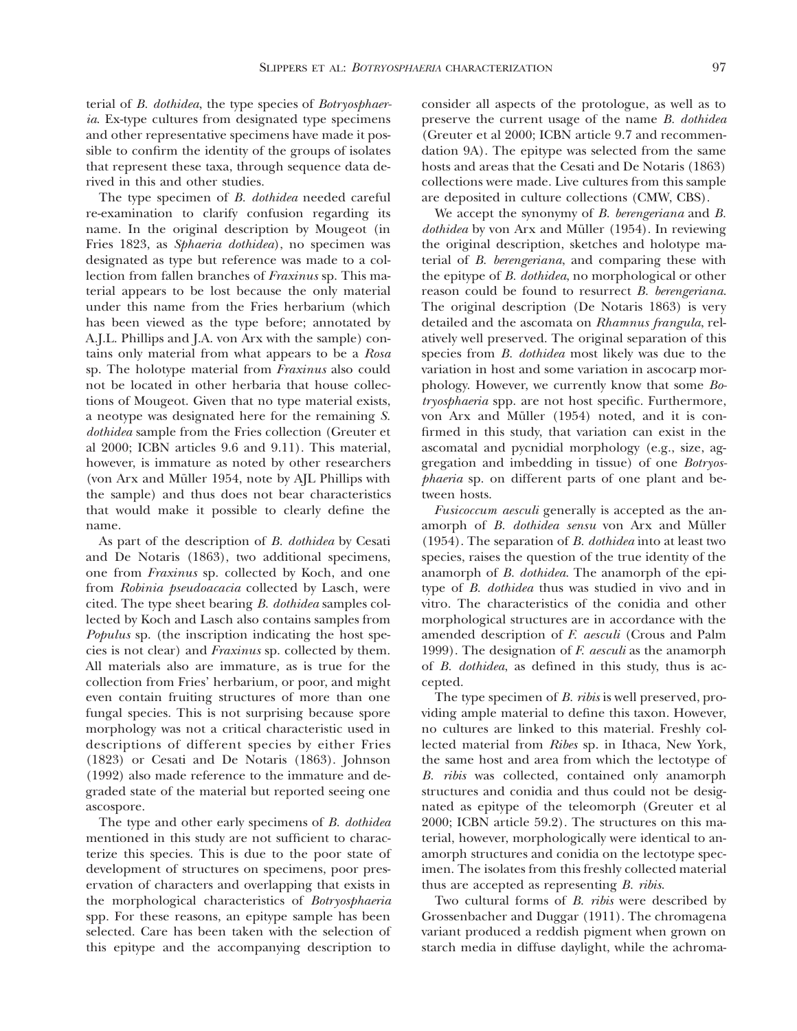SLIPPERS ET AL: *BOTRYOSPHAERIA* CHARACTERIZATION 97

terial of *B. dothidea*, the type species of *Botryosphaeria*. Ex-type cultures from designated type specimens and other representative specimens have made it possible to confirm the identity of the groups of isolates that represent these taxa, through sequence data derived in this and other studies.

The type specimen of *B. dothidea* needed careful re-examination to clarify confusion regarding its name. In the original description by Mougeot (in Fries 1823, as *Sphaeria dothidea*), no specimen was designated as type but reference was made to a collection from fallen branches of *Fraxinus* sp. This material appears to be lost because the only material under this name from the Fries herbarium (which has been viewed as the type before; annotated by A.J.L. Phillips and J.A. von Arx with the sample) contains only material from what appears to be a *Rosa* sp. The holotype material from *Fraxinus* also could not be located in other herbaria that house collections of Mougeot. Given that no type material exists, a neotype was designated here for the remaining *S. dothidea* sample from the Fries collection (Greuter et al 2000; ICBN articles 9.6 and 9.11). This material, however, is immature as noted by other researchers (von Arx and Müller 1954, note by AJL Phillips with the sample) and thus does not bear characteristics that would make it possible to clearly define the name.

As part of the description of *B. dothidea* by Cesati and De Notaris (1863), two additional specimens, one from *Fraxinus* sp. collected by Koch, and one from *Robinia pseudoacacia* collected by Lasch, were cited. The type sheet bearing *B. dothidea* samples collected by Koch and Lasch also contains samples from *Populus* sp. (the inscription indicating the host species is not clear) and *Fraxinus* sp. collected by them. All materials also are immature, as is true for the collection from Fries' herbarium, or poor, and might even contain fruiting structures of more than one fungal species. This is not surprising because spore morphology was not a critical characteristic used in descriptions of different species by either Fries (1823) or Cesati and De Notaris (1863). Johnson (1992) also made reference to the immature and degraded state of the material but reported seeing one ascospore.

The type and other early specimens of *B. dothidea* mentioned in this study are not sufficient to characterize this species. This is due to the poor state of development of structures on specimens, poor preservation of characters and overlapping that exists in the morphological characteristics of *Botryosphaeria* spp. For these reasons, an epitype sample has been selected. Care has been taken with the selection of this epitype and the accompanying description to

consider all aspects of the protologue, as well as to preserve the current usage of the name *B. dothidea* (Greuter et al 2000; ICBN article 9.7 and recommendation 9A). The epitype was selected from the same hosts and areas that the Cesati and De Notaris (1863) collections were made. Live cultures from this sample are deposited in culture collections (CMW, CBS).

We accept the synonymy of *B. berengeriana* and *B. dothidea* by von Arx and Müller (1954). In reviewing the original description, sketches and holotype material of *B. berengeriana*, and comparing these with the epitype of *B. dothidea*, no morphological or other reason could be found to resurrect *B. berengeriana*. The original description (De Notaris 1863) is very detailed and the ascomata on *Rhamnus frangula*, relatively well preserved. The original separation of this species from *B. dothidea* most likely was due to the variation in host and some variation in ascocarp morphology. However, we currently know that some *Botryosphaeria* spp. are not host specific. Furthermore, von Arx and Müller (1954) noted, and it is confirmed in this study, that variation can exist in the ascomatal and pycnidial morphology (e.g., size, aggregation and imbedding in tissue) of one *Botryosphaeria* sp. on different parts of one plant and between hosts.

*Fusicoccum aesculi* generally is accepted as the anamorph of *B. dothidea sensu* von Arx and Müller (1954). The separation of *B. dothidea* into at least two species, raises the question of the true identity of the anamorph of *B. dothidea*. The anamorph of the epitype of *B. dothidea* thus was studied in vivo and in vitro. The characteristics of the conidia and other morphological structures are in accordance with the amended description of *F. aesculi* (Crous and Palm 1999). The designation of *F. aesculi* as the anamorph of *B. dothidea*, as defined in this study, thus is accepted.

The type specimen of *B. ribis* is well preserved, providing ample material to define this taxon. However, no cultures are linked to this material. Freshly collected material from *Ribes* sp. in Ithaca, New York, the same host and area from which the lectotype of *B. ribis* was collected, contained only anamorph structures and conidia and thus could not be designated as epitype of the teleomorph (Greuter et al 2000; ICBN article 59.2). The structures on this material, however, morphologically were identical to anamorph structures and conidia on the lectotype specimen. The isolates from this freshly collected material thus are accepted as representing *B. ribis*.

Two cultural forms of *B. ribis* were described by Grossenbacher and Duggar (1911). The chromagena variant produced a reddish pigment when grown on starch media in diffuse daylight, while the achroma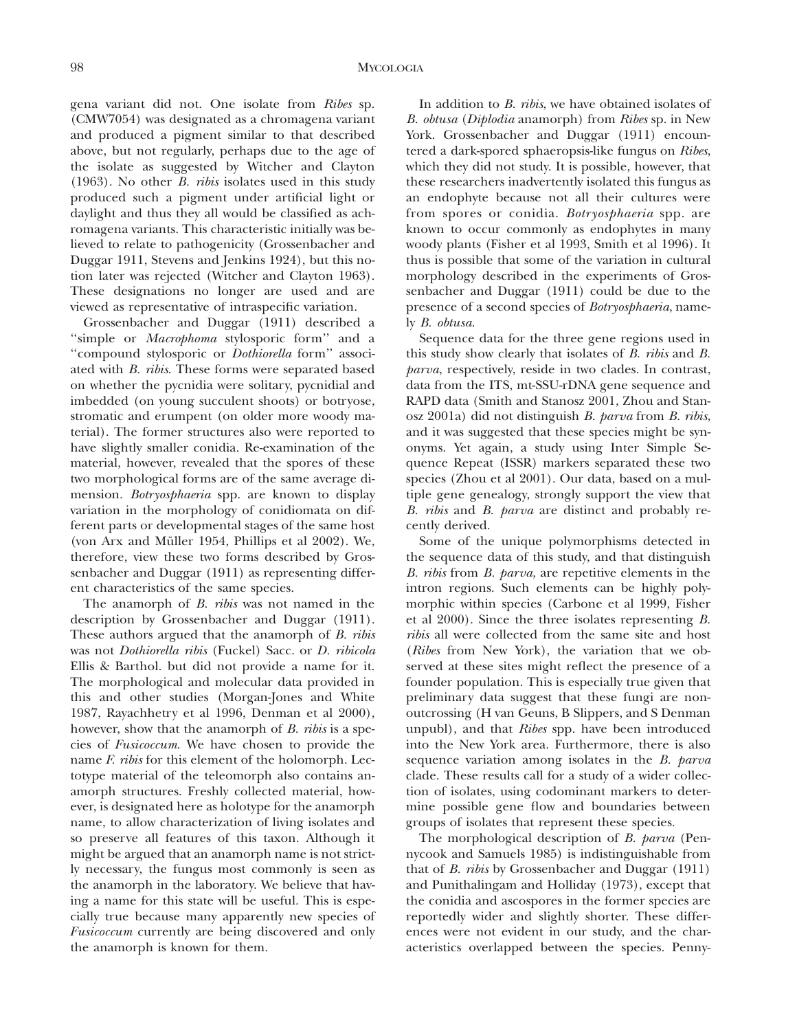gena variant did not. One isolate from *Ribes* sp. (CMW7054) was designated as a chromagena variant and produced a pigment similar to that described above, but not regularly, perhaps due to the age of the isolate as suggested by Witcher and Clayton (1963). No other *B. ribis* isolates used in this study produced such a pigment under artificial light or daylight and thus they all would be classified as achromagena variants. This characteristic initially was believed to relate to pathogenicity (Grossenbacher and Duggar 1911, Stevens and Jenkins 1924), but this notion later was rejected (Witcher and Clayton 1963). These designations no longer are used and are viewed as representative of intraspecific variation.

Grossenbacher and Duggar (1911) described a ''simple or *Macrophoma* stylosporic form'' and a ''compound stylosporic or *Dothiorella* form'' associated with *B. ribis*. These forms were separated based on whether the pycnidia were solitary, pycnidial and imbedded (on young succulent shoots) or botryose, stromatic and erumpent (on older more woody material). The former structures also were reported to have slightly smaller conidia. Re-examination of the material, however, revealed that the spores of these two morphological forms are of the same average dimension. *Botryosphaeria* spp. are known to display variation in the morphology of conidiomata on different parts or developmental stages of the same host (von Arx and Müller 1954, Phillips et al 2002). We, therefore, view these two forms described by Grossenbacher and Duggar (1911) as representing different characteristics of the same species.

The anamorph of *B. ribis* was not named in the description by Grossenbacher and Duggar (1911). These authors argued that the anamorph of *B. ribis* was not *Dothiorella ribis* (Fuckel) Sacc. or *D. ribicola* Ellis & Barthol. but did not provide a name for it. The morphological and molecular data provided in this and other studies (Morgan-Jones and White 1987, Rayachhetry et al 1996, Denman et al 2000), however, show that the anamorph of *B. ribis* is a species of *Fusicoccum*. We have chosen to provide the name *F. ribis* for this element of the holomorph. Lectotype material of the teleomorph also contains anamorph structures. Freshly collected material, however, is designated here as holotype for the anamorph name, to allow characterization of living isolates and so preserve all features of this taxon. Although it might be argued that an anamorph name is not strictly necessary, the fungus most commonly is seen as the anamorph in the laboratory. We believe that having a name for this state will be useful. This is especially true because many apparently new species of *Fusicoccum* currently are being discovered and only the anamorph is known for them.

In addition to *B. ribis*, we have obtained isolates of *B. obtusa* (*Diplodia* anamorph) from *Ribes* sp. in New York. Grossenbacher and Duggar (1911) encountered a dark-spored sphaeropsis-like fungus on *Ribes*, which they did not study. It is possible, however, that these researchers inadvertently isolated this fungus as an endophyte because not all their cultures were from spores or conidia. *Botryosphaeria* spp. are known to occur commonly as endophytes in many woody plants (Fisher et al 1993, Smith et al 1996). It thus is possible that some of the variation in cultural morphology described in the experiments of Grossenbacher and Duggar (1911) could be due to the presence of a second species of *Botryosphaeria*, namely *B. obtusa*.

Sequence data for the three gene regions used in this study show clearly that isolates of *B. ribis* and *B. parva*, respectively, reside in two clades. In contrast, data from the ITS, mt-SSU-rDNA gene sequence and RAPD data (Smith and Stanosz 2001, Zhou and Stanosz 2001a) did not distinguish *B. parva* from *B. ribis*, and it was suggested that these species might be synonyms. Yet again, a study using Inter Simple Sequence Repeat (ISSR) markers separated these two species (Zhou et al 2001). Our data, based on a multiple gene genealogy, strongly support the view that *B. ribis* and *B. parva* are distinct and probably recently derived.

Some of the unique polymorphisms detected in the sequence data of this study, and that distinguish *B. ribis* from *B. parva*, are repetitive elements in the intron regions. Such elements can be highly polymorphic within species (Carbone et al 1999, Fisher et al 2000). Since the three isolates representing *B. ribis* all were collected from the same site and host (*Ribes* from New York), the variation that we observed at these sites might reflect the presence of a founder population. This is especially true given that preliminary data suggest that these fungi are nonoutcrossing (H van Geuns, B Slippers, and S Denman unpubl), and that *Ribes* spp. have been introduced into the New York area. Furthermore, there is also sequence variation among isolates in the *B. parva* clade. These results call for a study of a wider collection of isolates, using codominant markers to determine possible gene flow and boundaries between groups of isolates that represent these species.

The morphological description of *B. parva* (Pennycook and Samuels 1985) is indistinguishable from that of *B. ribis* by Grossenbacher and Duggar (1911) and Punithalingam and Holliday (1973), except that the conidia and ascospores in the former species are reportedly wider and slightly shorter. These differences were not evident in our study, and the characteristics overlapped between the species. Penny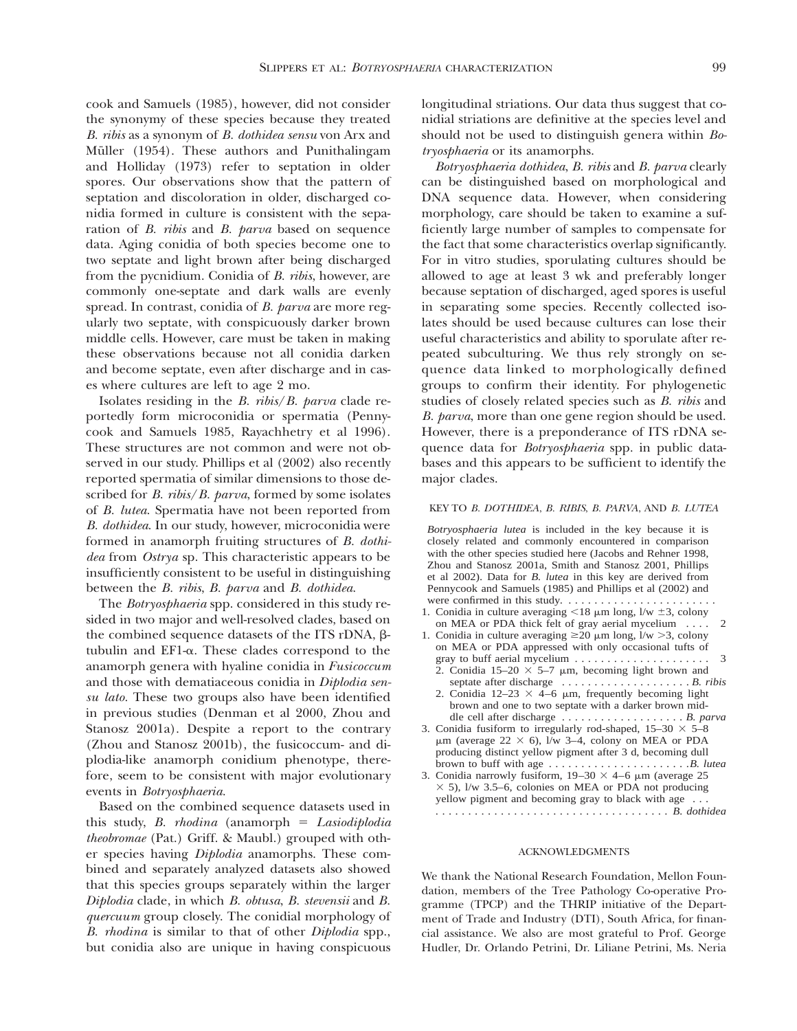cook and Samuels (1985), however, did not consider the synonymy of these species because they treated *B. ribis* as a synonym of *B. dothidea sensu* von Arx and Müller (1954). These authors and Punithalingam and Holliday (1973) refer to septation in older spores. Our observations show that the pattern of septation and discoloration in older, discharged conidia formed in culture is consistent with the separation of *B. ribis* and *B. parva* based on sequence data. Aging conidia of both species become one to two septate and light brown after being discharged from the pycnidium. Conidia of *B. ribis*, however, are commonly one-septate and dark walls are evenly spread. In contrast, conidia of *B. parva* are more regularly two septate, with conspicuously darker brown middle cells. However, care must be taken in making these observations because not all conidia darken and become septate, even after discharge and in cases where cultures are left to age 2 mo.

Isolates residing in the *B. ribis*/*B. parva* clade reportedly form microconidia or spermatia (Pennycook and Samuels 1985, Rayachhetry et al 1996). These structures are not common and were not observed in our study. Phillips et al (2002) also recently reported spermatia of similar dimensions to those described for *B. ribis*/*B. parva*, formed by some isolates of *B. lutea*. Spermatia have not been reported from *B. dothidea*. In our study, however, microconidia were formed in anamorph fruiting structures of *B. dothidea* from *Ostrya* sp. This characteristic appears to be insufficiently consistent to be useful in distinguishing between the *B. ribis*, *B. parva* and *B. dothidea*.

The *Botryosphaeria* spp. considered in this study resided in two major and well-resolved clades, based on the combined sequence datasets of the ITS rDNA,  $\beta$ tubulin and EF1-a. These clades correspond to the anamorph genera with hyaline conidia in *Fusicoccum* and those with dematiaceous conidia in *Diplodia sensu lato.* These two groups also have been identified in previous studies (Denman et al 2000, Zhou and Stanosz 2001a). Despite a report to the contrary (Zhou and Stanosz 2001b), the fusicoccum- and diplodia-like anamorph conidium phenotype, therefore, seem to be consistent with major evolutionary events in *Botryosphaeria*.

Based on the combined sequence datasets used in this study, *B. rhodina* (anamorph = Lasiodiplodia *theobromae* (Pat.) Griff. & Maubl.) grouped with other species having *Diplodia* anamorphs. These combined and separately analyzed datasets also showed that this species groups separately within the larger *Diplodia* clade, in which *B. obtusa*, *B. stevensii* and *B. quercuum* group closely. The conidial morphology of *B. rhodina* is similar to that of other *Diplodia* spp., but conidia also are unique in having conspicuous

longitudinal striations. Our data thus suggest that conidial striations are definitive at the species level and should not be used to distinguish genera within *Botryosphaeria* or its anamorphs.

*Botryosphaeria dothidea*, *B. ribis* and *B. parva* clearly can be distinguished based on morphological and DNA sequence data. However, when considering morphology, care should be taken to examine a sufficiently large number of samples to compensate for the fact that some characteristics overlap significantly. For in vitro studies, sporulating cultures should be allowed to age at least 3 wk and preferably longer because septation of discharged, aged spores is useful in separating some species. Recently collected isolates should be used because cultures can lose their useful characteristics and ability to sporulate after repeated subculturing. We thus rely strongly on sequence data linked to morphologically defined groups to confirm their identity. For phylogenetic studies of closely related species such as *B. ribis* and *B. parva*, more than one gene region should be used. However, there is a preponderance of ITS rDNA sequence data for *Botryosphaeria* spp. in public databases and this appears to be sufficient to identify the major clades.

## KEY TO *B. DOTHIDEA*, *B. RIBIS*, *B. PARVA*, AND *B. LUTEA*

*Botryosphaeria lutea* is included in the key because it is closely related and commonly encountered in comparison with the other species studied here (Jacobs and Rehner 1998, Zhou and Stanosz 2001a, Smith and Stanosz 2001, Phillips et al 2002). Data for *B. lutea* in this key are derived from Pennycook and Samuels (1985) and Phillips et al (2002) and were confirmed in this study. .......................

- 1. Conidia in culture averaging  $\leq 18$  µm long, l/w  $\pm 3$ , colony on MEA or PDA thick felt of gray aerial mycelium .... 2
- 1. Conidia in culture averaging  $\geq 20 \mu m \log_2 1/w > 3$ , colony on MEA or PDA appressed with only occasional tufts of gray to buff aerial mycelium .....................
	- 2. Conidia  $15-20 \times 5-7$  µm, becoming light brown and septate after discharge .................... *B. ribis*
	- 2. Conidia  $12-23 \times 4-6$  µm, frequently becoming light brown and one to two septate with a darker brown middle cell after discharge ................... *B. parva*
- 3. Conidia fusiform to irregularly rod-shaped,  $15-30 \times 5-8$  $\mu$ m (average 22 × 6), l/w 3–4, colony on MEA or PDA producing distinct yellow pigment after 3 d, becoming dull brown to buff with age ......................*B. lutea*
- 3. Conidia narrowly fusiform,  $19-30 \times 4-6$  µm (average 25  $\times$  5), l/w 3.5–6, colonies on MEA or PDA not producing yellow pigment and becoming gray to black with age . . . .................................... *B. dothidea*

### ACKNOWLEDGMENTS

We thank the National Research Foundation, Mellon Foundation, members of the Tree Pathology Co-operative Programme (TPCP) and the THRIP initiative of the Department of Trade and Industry (DTI), South Africa, for financial assistance. We also are most grateful to Prof. George Hudler, Dr. Orlando Petrini, Dr. Liliane Petrini, Ms. Neria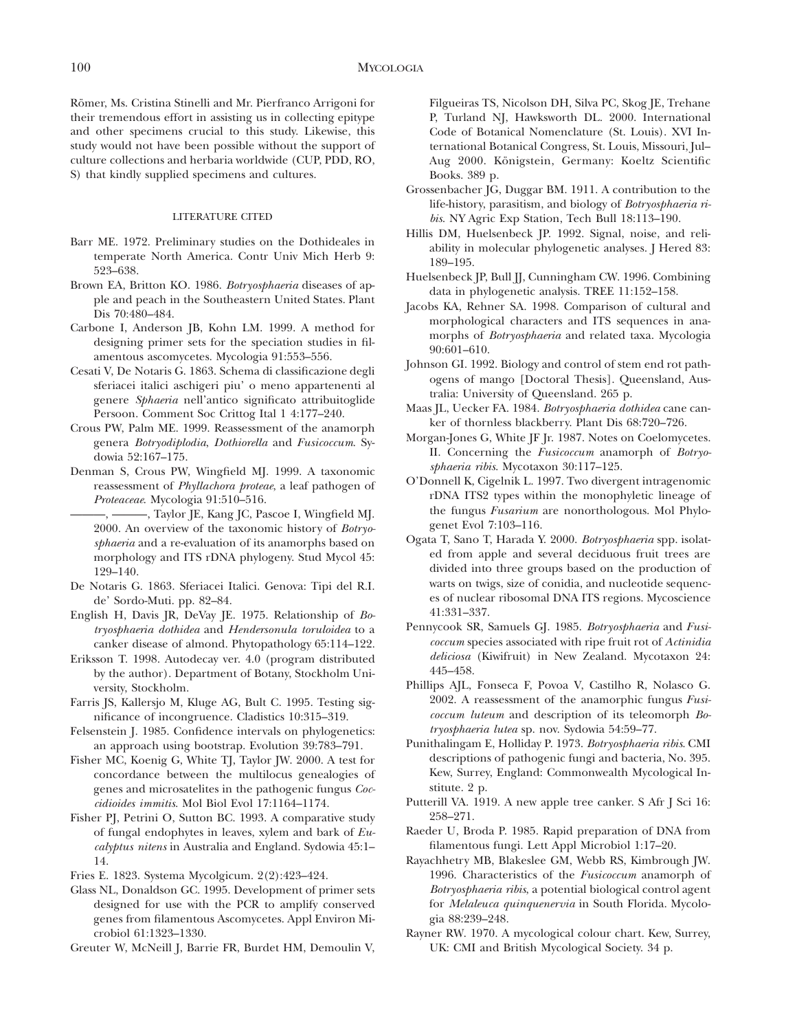Römer, Ms. Cristina Stinelli and Mr. Pierfranco Arrigoni for their tremendous effort in assisting us in collecting epitype and other specimens crucial to this study. Likewise, this study would not have been possible without the support of culture collections and herbaria worldwide (CUP, PDD, RO, S) that kindly supplied specimens and cultures.

## LITERATURE CITED

- Barr ME. 1972. Preliminary studies on the Dothideales in temperate North America. Contr Univ Mich Herb 9: 523–638.
- Brown EA, Britton KO. 1986. *Botryosphaeria* diseases of apple and peach in the Southeastern United States. Plant Dis 70:480–484.
- Carbone I, Anderson JB, Kohn LM. 1999. A method for designing primer sets for the speciation studies in filamentous ascomycetes. Mycologia 91:553–556.
- Cesati V, De Notaris G. 1863. Schema di classificazione degli sferiacei italici aschigeri piu' o meno appartenenti al genere *Sphaeria* nell'antico significato attribuitoglide Persoon. Comment Soc Crittog Ital 1 4:177–240.
- Crous PW, Palm ME. 1999. Reassessment of the anamorph genera *Botryodiplodia*, *Dothiorella* and *Fusicoccum*. Sydowia 52:167–175.
- Denman S, Crous PW, Wingfield MJ. 1999. A taxonomic reassessment of *Phyllachora proteae*, a leaf pathogen of *Proteaceae*. Mycologia 91:510–516.

———, ———, Taylor JE, Kang JC, Pascoe I, Wingfield MJ. 2000. An overview of the taxonomic history of *Botryosphaeria* and a re-evaluation of its anamorphs based on morphology and ITS rDNA phylogeny. Stud Mycol 45: 129–140.

- De Notaris G. 1863. Sferiacei Italici. Genova: Tipi del R.I. de' Sordo-Muti. pp. 82–84.
- English H, Davis JR, DeVay JE. 1975. Relationship of *Botryosphaeria dothidea* and *Hendersonula toruloidea* to a canker disease of almond. Phytopathology 65:114–122.
- Eriksson T. 1998. Autodecay ver. 4.0 (program distributed by the author). Department of Botany, Stockholm University, Stockholm.
- Farris JS, Kallersjo M, Kluge AG, Bult C. 1995. Testing significance of incongruence. Cladistics 10:315–319.
- Felsenstein J. 1985. Confidence intervals on phylogenetics: an approach using bootstrap. Evolution 39:783–791.
- Fisher MC, Koenig G, White TJ, Taylor JW. 2000. A test for concordance between the multilocus genealogies of genes and microsatelites in the pathogenic fungus *Coccidioides immitis*. Mol Biol Evol 17:1164–1174.
- Fisher PJ, Petrini O, Sutton BC. 1993. A comparative study of fungal endophytes in leaves, xylem and bark of *Eucalyptus nitens* in Australia and England. Sydowia 45:1– 14.
- Fries E. 1823. Systema Mycolgicum. 2(2):423–424.
- Glass NL, Donaldson GC. 1995. Development of primer sets designed for use with the PCR to amplify conserved genes from filamentous Ascomycetes. Appl Environ Microbiol 61:1323–1330.
- Greuter W, McNeill J, Barrie FR, Burdet HM, Demoulin V,

Filgueiras TS, Nicolson DH, Silva PC, Skog JE, Trehane P, Turland NJ, Hawksworth DL. 2000. International Code of Botanical Nomenclature (St. Louis). XVI International Botanical Congress, St. Louis, Missouri, Jul– Aug 2000. Königstein, Germany: Koeltz Scientific Books. 389 p.

- Grossenbacher JG, Duggar BM. 1911. A contribution to the life-history, parasitism, and biology of *Botryosphaeria ribis*. NY Agric Exp Station, Tech Bull 18:113–190.
- Hillis DM, Huelsenbeck JP. 1992. Signal, noise, and reliability in molecular phylogenetic analyses. J Hered 83: 189–195.
- Huelsenbeck JP, Bull JJ, Cunningham CW. 1996. Combining data in phylogenetic analysis. TREE 11:152–158.
- Jacobs KA, Rehner SA. 1998. Comparison of cultural and morphological characters and ITS sequences in anamorphs of *Botryosphaeria* and related taxa. Mycologia 90:601–610.
- Johnson GI. 1992. Biology and control of stem end rot pathogens of mango [Doctoral Thesis]. Queensland, Australia: University of Queensland. 265 p.
- Maas JL, Uecker FA. 1984. *Botryosphaeria dothidea* cane canker of thornless blackberry. Plant Dis 68:720–726.
- Morgan-Jones G, White JF Jr. 1987. Notes on Coelomycetes. II. Concerning the *Fusicoccum* anamorph of *Botryosphaeria ribis*. Mycotaxon 30:117–125.
- O'Donnell K, Cigelnik L. 1997. Two divergent intragenomic rDNA ITS2 types within the monophyletic lineage of the fungus *Fusarium* are nonorthologous. Mol Phylogenet Evol 7:103–116.
- Ogata T, Sano T, Harada Y. 2000. *Botryosphaeria* spp. isolated from apple and several deciduous fruit trees are divided into three groups based on the production of warts on twigs, size of conidia, and nucleotide sequences of nuclear ribosomal DNA ITS regions. Mycoscience 41:331–337.
- Pennycook SR, Samuels GJ. 1985. *Botryosphaeria* and *Fusicoccum* species associated with ripe fruit rot of*Actinidia deliciosa* (Kiwifruit) in New Zealand. Mycotaxon 24: 445–458.
- Phillips AJL, Fonseca F, Povoa V, Castilho R, Nolasco G. 2002. A reassessment of the anamorphic fungus *Fusicoccum luteum* and description of its teleomorph *Botryosphaeria lutea* sp. nov. Sydowia 54:59–77.
- Punithalingam E, Holliday P. 1973. *Botryosphaeria ribis*. CMI descriptions of pathogenic fungi and bacteria, No. 395. Kew, Surrey, England: Commonwealth Mycological Institute. 2 p.
- Putterill VA. 1919. A new apple tree canker. S Afr J Sci 16: 258–271.
- Raeder U, Broda P. 1985. Rapid preparation of DNA from filamentous fungi. Lett Appl Microbiol 1:17–20.
- Rayachhetry MB, Blakeslee GM, Webb RS, Kimbrough JW. 1996. Characteristics of the *Fusicoccum* anamorph of *Botryosphaeria ribis*, a potential biological control agent for *Melaleuca quinquenervia* in South Florida. Mycologia 88:239–248.
- Rayner RW. 1970. A mycological colour chart. Kew, Surrey, UK: CMI and British Mycological Society. 34 p.